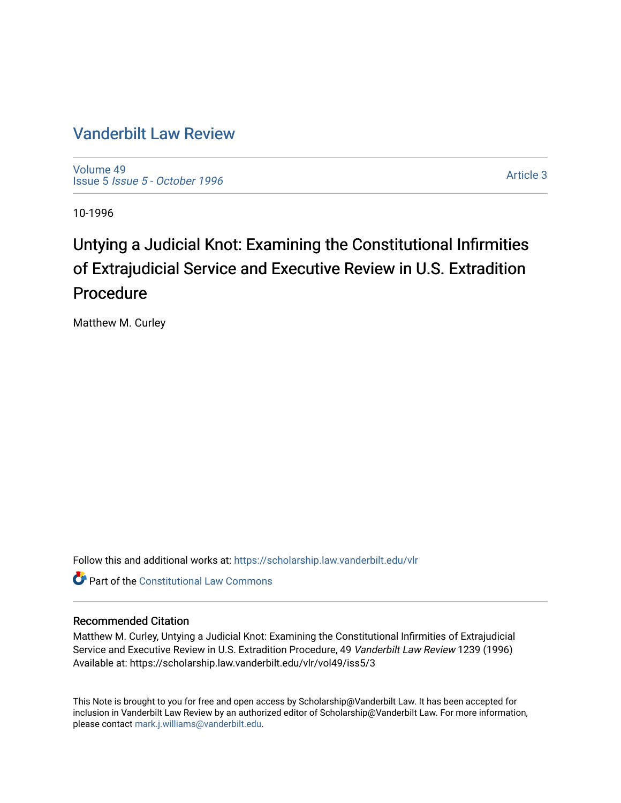### [Vanderbilt Law Review](https://scholarship.law.vanderbilt.edu/vlr)

[Volume 49](https://scholarship.law.vanderbilt.edu/vlr/vol49) Issue 5 [Issue 5 - October 1996](https://scholarship.law.vanderbilt.edu/vlr/vol49/iss5) 

[Article 3](https://scholarship.law.vanderbilt.edu/vlr/vol49/iss5/3) 

10-1996

## Untying a Judicial Knot: Examining the Constitutional Infirmities of Extrajudicial Service and Executive Review in U.S. Extradition Procedure

Matthew M. Curley

Follow this and additional works at: [https://scholarship.law.vanderbilt.edu/vlr](https://scholarship.law.vanderbilt.edu/vlr?utm_source=scholarship.law.vanderbilt.edu%2Fvlr%2Fvol49%2Fiss5%2F3&utm_medium=PDF&utm_campaign=PDFCoverPages)

**C** Part of the Constitutional Law Commons

#### Recommended Citation

Matthew M. Curley, Untying a Judicial Knot: Examining the Constitutional Infirmities of Extrajudicial Service and Executive Review in U.S. Extradition Procedure, 49 Vanderbilt Law Review 1239 (1996) Available at: https://scholarship.law.vanderbilt.edu/vlr/vol49/iss5/3

This Note is brought to you for free and open access by Scholarship@Vanderbilt Law. It has been accepted for inclusion in Vanderbilt Law Review by an authorized editor of Scholarship@Vanderbilt Law. For more information, please contact [mark.j.williams@vanderbilt.edu.](mailto:mark.j.williams@vanderbilt.edu)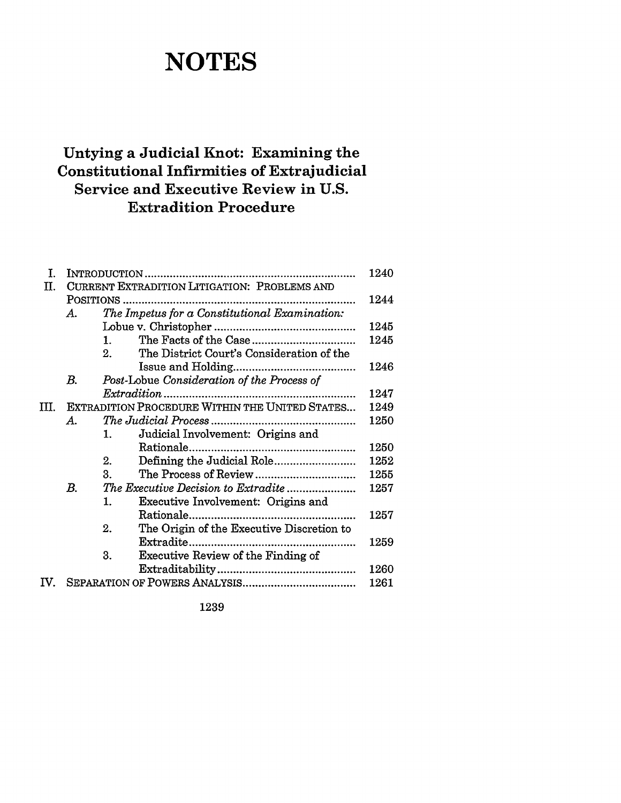# **NOTES**

## **Untying a Judicial Knot: Examining the Constitutional Infirmities of Extrajudicial Service and Executive Review in U.S. Extradition Procedure**

| I.                    |                                                |                                               |                                           |      |  |  |  |  |
|-----------------------|------------------------------------------------|-----------------------------------------------|-------------------------------------------|------|--|--|--|--|
| Π.                    | CURRENT EXTRADITION LITIGATION: PROBLEMS AND   |                                               |                                           |      |  |  |  |  |
|                       |                                                |                                               |                                           |      |  |  |  |  |
|                       | A.                                             | The Impetus for a Constitutional Examination: |                                           |      |  |  |  |  |
|                       |                                                |                                               |                                           |      |  |  |  |  |
|                       |                                                | 1 <sup>1</sup>                                |                                           | 1245 |  |  |  |  |
|                       |                                                | 2 <sub>1</sub>                                | The District Court's Consideration of the |      |  |  |  |  |
|                       |                                                |                                               |                                           | 1246 |  |  |  |  |
|                       | В.                                             | Post-Lobue Consideration of the Process of    |                                           |      |  |  |  |  |
|                       |                                                |                                               |                                           | 1247 |  |  |  |  |
| Ш.                    | EXTRADITION PROCEDURE WITHIN THE UNITED STATES |                                               |                                           |      |  |  |  |  |
|                       | А.                                             |                                               |                                           |      |  |  |  |  |
|                       |                                                | 1.                                            | Judicial Involvement: Origins and         |      |  |  |  |  |
|                       |                                                |                                               |                                           | 1250 |  |  |  |  |
|                       |                                                | 2.                                            |                                           | 1252 |  |  |  |  |
|                       |                                                | 3.                                            |                                           | 1255 |  |  |  |  |
|                       | В.                                             | The Executive Decision to Extradite           |                                           |      |  |  |  |  |
|                       |                                                | 1.                                            | Executive Involvement: Origins and        |      |  |  |  |  |
|                       |                                                |                                               |                                           | 1257 |  |  |  |  |
|                       |                                                | 2.                                            | The Origin of the Executive Discretion to |      |  |  |  |  |
|                       |                                                |                                               |                                           | 1259 |  |  |  |  |
|                       |                                                | 3.                                            | Executive Review of the Finding of        |      |  |  |  |  |
|                       |                                                |                                               |                                           | 1260 |  |  |  |  |
| $\mathbf{IV}_{\cdot}$ |                                                |                                               |                                           |      |  |  |  |  |
|                       |                                                |                                               |                                           |      |  |  |  |  |

1239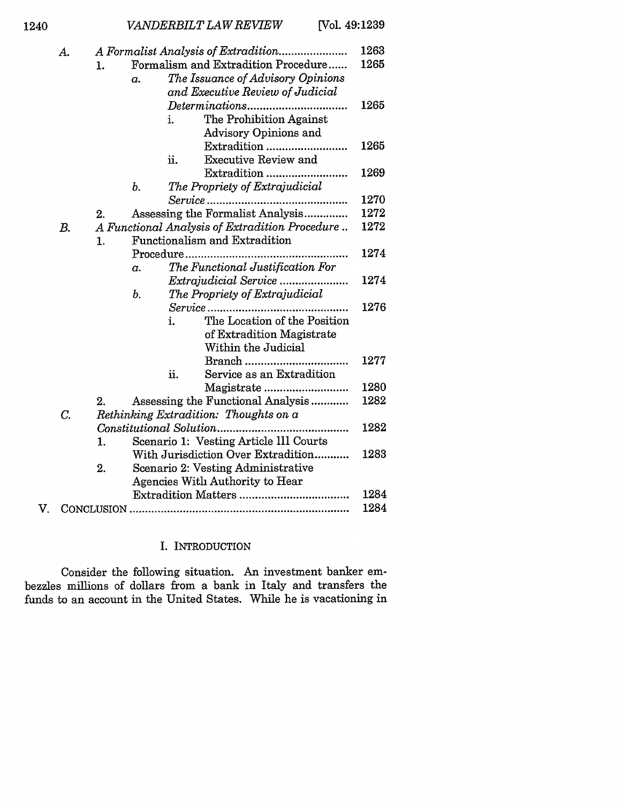|  | A. |                                           |                                                                              |      |                                  |              |  |  |  |
|--|----|-------------------------------------------|------------------------------------------------------------------------------|------|----------------------------------|--------------|--|--|--|
|  |    | Formalism and Extradition Procedure<br>1. |                                                                              |      |                                  |              |  |  |  |
|  |    |                                           | The Issuance of Advisory Opinions<br>$\alpha$ .                              |      |                                  |              |  |  |  |
|  |    |                                           |                                                                              |      | and Executive Review of Judicial |              |  |  |  |
|  |    |                                           |                                                                              |      |                                  | 1265         |  |  |  |
|  |    |                                           |                                                                              | i.   | The Prohibition Against          |              |  |  |  |
|  |    |                                           |                                                                              |      | Advisory Opinions and            |              |  |  |  |
|  |    |                                           |                                                                              |      | Extradition                      | 1265         |  |  |  |
|  |    |                                           |                                                                              | ii.  | <b>Executive Review and</b>      |              |  |  |  |
|  |    |                                           |                                                                              |      | Extradition                      | 1269         |  |  |  |
|  |    |                                           | ь.                                                                           |      | The Propriety of Extrajudicial   |              |  |  |  |
|  |    |                                           |                                                                              |      |                                  | 1270         |  |  |  |
|  |    | 2.                                        |                                                                              |      | Assessing the Formalist Analysis | 1272         |  |  |  |
|  | В. |                                           | A Functional Analysis of Extradition Procedure                               |      |                                  |              |  |  |  |
|  |    | 1.                                        | Functionalism and Extradition                                                |      |                                  |              |  |  |  |
|  |    |                                           |                                                                              |      | Procedure                        | 1274         |  |  |  |
|  |    |                                           | $\alpha$ .                                                                   |      | The Functional Justification For |              |  |  |  |
|  |    |                                           |                                                                              |      |                                  | 1274         |  |  |  |
|  |    |                                           | b.                                                                           |      | The Propriety of Extrajudicial   |              |  |  |  |
|  |    |                                           |                                                                              |      |                                  | 1276         |  |  |  |
|  |    |                                           |                                                                              | i.   | The Location of the Position     |              |  |  |  |
|  |    |                                           |                                                                              |      | of Extradition Magistrate        |              |  |  |  |
|  |    |                                           |                                                                              |      | Within the Judicial              |              |  |  |  |
|  |    |                                           |                                                                              |      |                                  | 1277         |  |  |  |
|  |    |                                           |                                                                              | ii.  | Service as an Extradition        |              |  |  |  |
|  |    |                                           |                                                                              |      | Magistrate                       | 1280<br>1282 |  |  |  |
|  |    | 2.                                        | Assessing the Functional Analysis                                            |      |                                  |              |  |  |  |
|  | С. |                                           | Rethinking Extradition: Thoughts on a                                        |      |                                  |              |  |  |  |
|  |    | Constitutional Solution                   |                                                                              |      |                                  |              |  |  |  |
|  |    | 1.                                        | Scenario 1: Vesting Article III Courts<br>With Jurisdiction Over Extradition |      |                                  |              |  |  |  |
|  |    |                                           |                                                                              | 1283 |                                  |              |  |  |  |
|  |    | 2.                                        | Scenario 2: Vesting Administrative<br><b>Agencies With Authority to Hear</b> |      |                                  |              |  |  |  |
|  |    |                                           |                                                                              |      |                                  | 1284         |  |  |  |
|  |    |                                           |                                                                              |      |                                  | 1284         |  |  |  |
|  |    |                                           |                                                                              |      |                                  |              |  |  |  |

#### I. INTRODUCTION

Consider the following situation. An investment banker embezzles millions of dollars from a bank in Italy and transfers the funds to an account in the United States. While he is vacationing in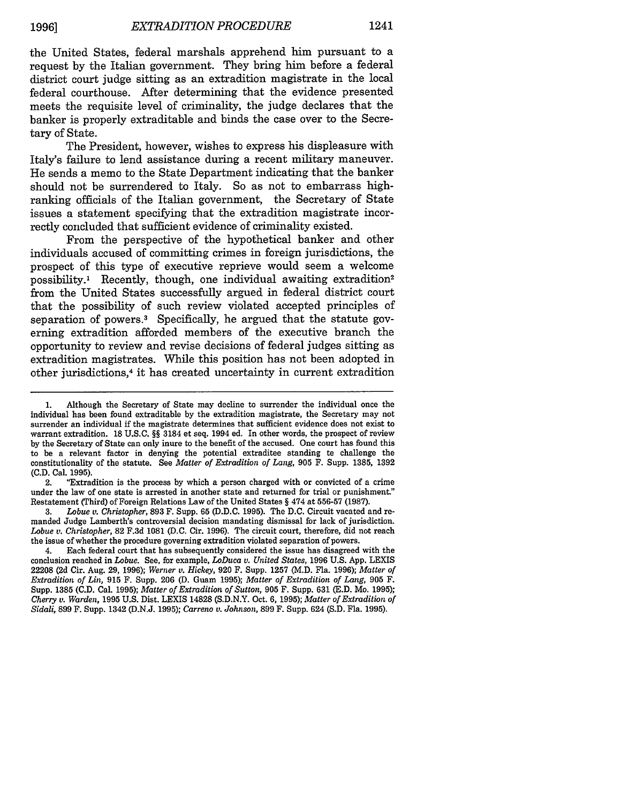the United States, federal marshals apprehend him pursuant to a request **by** the Italian government. They bring him before a federal district court judge sitting as an extradition magistrate in the local federal courthouse. After determining that the evidence presented meets the requisite level of criminality, the judge declares that the banker is properly extraditable and binds the case over to the Secretary of State.

The President, however, wishes to express his displeasure with Italy's failure to lend assistance during a recent military maneuver. He sends a memo to the State Department indicating that the banker should not be surrendered to Italy. So as not to embarrass highranking officials of the Italian government, the Secretary of State issues a statement specifying that the extradition magistrate incorrectly concluded that sufficient evidence of criminality existed.

From the perspective of the hypothetical banker and other individuals accused of committing crimes in foreign jurisdictions, the prospect of this type of executive reprieve would seem a welcome possibility.<sup>1</sup> Recently, though, one individual awaiting extradition<sup>2</sup> from the United States successfully argued in federal district court that the possibility of such review violated accepted principles of separation of powers.<sup>3</sup> Specifically, he argued that the statute governing extradition afforded members of the executive branch the opportunity to review and revise decisions of federal judges sitting as extradition magistrates. While this position has not been adopted in other jurisdictions, 4 it has created uncertainty in current extradition

2. "Extradition is the process **by** which a person charged with or convicted of a crime under the law of one state is arrested in another state and returned for trial or punishment." Restatement (Third) of Foreign Relations Law of the United States **§** 474 at **556-57 (1987).**

**3.** *Lobue v. Christopher,* **893** F. Supp. **65 (D.D.C. 1995).** The **D.C.** Circuit vacated and remanded Judge Lamberth's controversial decision mandating dismissal for lack of jurisdiction. *Lobue v. Christopher,* **82 F.3d 1081 (D.C.** Cir. **1996).** The circuit court, therefore, did not reach the issue of whether the procedure governing extradition violated separation of powers.

4. Each federal court that has subsequently considered the issue has disagreed with the conclusion reached in *Lobue.* See, for example, *LoDuca v. United States,* **1996 U.S. App.** LEXIS **22208 (2d** Cir. Aug. **29, 1996);** *Werner v. Hickey,* **920** F. Supp. **1257 (M.D.** Fla. **1996);** *Matter of Extradition of Lin,* **915** F. Supp. **206 (D.** Guam **1995);** *Matter of Extradition of Lang,* **905** F. Supp. **1385 (C.D.** Cal. **1995);** *Matter of Extradition of Sutton,* **905** F. Supp. **631 (E.D. Mo. 1995);** *Cherry v. Warden,* **1995 U.S.** Dist. LEXIS **14828 (S.D.N.Y.** Oct. **6, 1995);** *Matter of Extradition of Sidali,* **899** F. Supp. 1342 **(D.N.J. 1995);** *Carreno v. Johnson,* **899** F. Supp. 624 **(S.D.** Fla. **1995).**

**<sup>1.</sup>** Although the Secretary of State may decline to surrender the individual once the individual has been found extraditable **by** the extradition magistrate, the Secretary may not surrender an individual if the magistrate determines that sufficient evidence does not exist to warrant extradition. **18 U.S.C. §§** 3184 et seq. 1994 ed. In other words, the prospect of review **by** the Secretary of State can only inure to the benefit of the accused. One court has found this to be a relevant factor in denying the potential extraditee standing to challenge the constitutionality of the statute. See *Matter of Extradition of Lang,* **905** F. Supp. **1385, 1392 (C.D.** Cal. **1995).**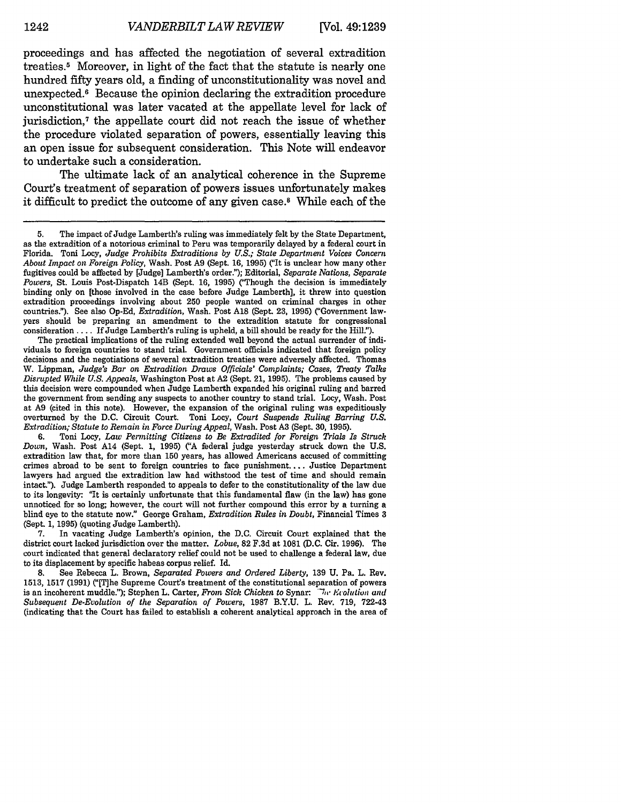proceedings and has affected the negotiation of several extradition treaties.5 Moreover, in light of the fact that the statute is nearly one hundred fifty years old, a finding of unconstitutionality was novel and unexpected.6 Because the opinion declaring the extradition procedure unconstitutional was later vacated at the appellate level for lack of jurisdiction,7 the appellate court did not reach the issue of whether the procedure violated separation of powers, essentially leaving this an open issue for subsequent consideration. This Note will endeavor to undertake such a consideration.

The ultimate lack of an analytical coherence in the Supreme Court's treatment of separation of powers issues unfortunately makes it difficult to predict the outcome of any given case.8 While each of the

The practical implications of the ruling extended well beyond the actual surrender of individuals to foreign countries to stand trial. Government officials indicated that foreign policy decisions and the negotiations of several extradition treaties were adversely affected. Thomas W. Lippman, *Judge's Bar on Extradition Draws Officials' Complaints; Cases, Treaty Talks Disrupted While U.S. Appeals,* Washington Post at **A2** (Sept. 21, **1995).** The problems caused by this decision were compounded when Judge Lamberth expanded his original ruling and barred the government from sending any suspects to another country to stand trial. Locy, Wash. Post at **A9** (cited in this note). However, the expansion of the original ruling was expeditiously overturned **by** the **D.C.** Circuit Court. Toni Locy, *Court Suspends Ruling Barring U.S. Extradition; Statute to Remain in Force During Appeal,* Wash. Post **A3** (Sept. **30, 1995).**

**6.** Toni Locy, *Law Permitting Citizens to Be Extradited for Foreign Trials Is Struck Down,* Wash. Post A14 (Sept. **1, 1995)** *("A* federal judge yesterday struck down the **U.S.** extradition law that, for more than **150** years, has allowed Americans accused of committing crimes abroad to be sent to foreign countries to face punishment.... Justice Department lawyers had argued the extradition law had withstood the test of time and should remain intact."). Judge Lamberth responded to appeals to defer to the constitutionality of the law due to its longevity: "It is certainly unfortunate that this fundamental flaw (in the law) has gone unnoticed for so long; however, the court will not further compound this error by a turning a blind eye to the statute now." George Graham, *Extradition Rules* **in** *Doubt,* Financial Times **3** (Sept. **1, 1995)** (quoting Judge Lamberth).

**7.** In vacating Judge Lamberth's opinion, the **D.C.** Circuit Court explained that the district court lacked jurisdiction over the matter. *Lobue,* **82 F.3d** at **1081 (D.C.** Cir. **1996).** The court indicated that general declaratory relief could not be used to challenge a federal law, due to its displacement by specific habeas corpus relief. Id.

**8.** See Rebecca L. Brown, *Separated Powers and Ordered Liberty,* 139 U. Pa. L. Rev. 1513, 1517 (1991) ("[T]he Supreme Court's treatment of the constitutional separation of powers is an incoherent muddle."); Stephen L. Carter, *From Sick Chicken to* Synar: *The Ecolution and Subsequent De-Evolution of the Separation of Powers,* 1987 B.Y.U. L. Rev. 719, 722-43 (indicating that the Court has failed to establish a coherent analytical approach in the area of

<sup>5.</sup> The impact of Judge Lamberth's ruling was immediately felt by the State Department, as the extradition of a notorious criminal to Peru was temporarily delayed by a federal court in Florida. Toni Locy, *Judge Prohibits Extraditions by U.S.; State Department Voices Concern About Impact on Foreign Policy,* Wash. Post **A9** (Sept. **16, 1995)** ('It is unclear how many other fugitives could be affected **by** [Judge] Lamberth's order."); Editorial, *Separate Nations, Separate Powers*, St. Louis Post-Dispatch 14B (Sept. 16, 1995) <sup>("Though the decision is immediately</sup> binding only on [those involved in the case before Judge Lamberth], it threw into question extradition proceedings involving about **250** people wanted on criminal charges in other countries."). See also Op-Ed, *Extradition*, Wash. Post A18 (Sept. 23, 1995) ("Government lawyers should be preparing an amendment to the extradition statute for congressional consideration .... If Judge Lamberth's ruling is upheld, a **bill** should be ready for the Hill.").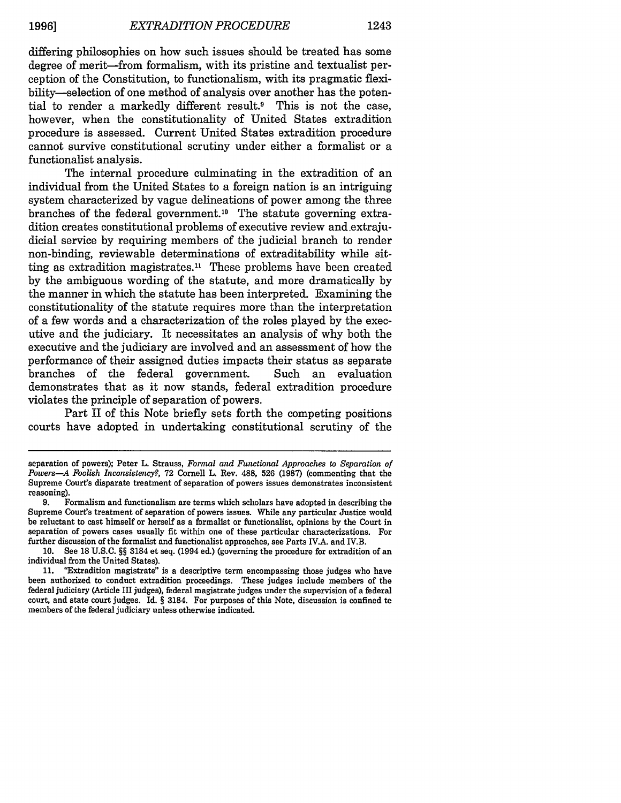differing philosophies on how such issues should be treated has some degree of merit-from formalism, with its pristine and textualist perception of the Constitution, to functionalism, with its pragmatic flexibility-selection of one method of analysis over another has the potential to render a markedly different result.<sup>9</sup> This is not the case, however, when the constitutionality of United States extradition procedure is assessed. Current United States extradition procedure cannot survive constitutional scrutiny under either a formalist or a functionalist analysis.

The internal procedure culminating in the extradition of an individual from the United States to a foreign nation is an intriguing system characterized by vague delineations of power among the three branches of the federal government.<sup>10</sup> The statute governing extradition creates constitutional problems of executive review and extrajudicial service by requiring members of the judicial branch to render non-binding, reviewable determinations of extraditability while sitting as extradition magistrates.<sup>11</sup> These problems have been created by the ambiguous wording of the statute, and more dramatically by the manner in which the statute has been interpreted. Examining the constitutionality of the statute requires more than the interpretation of a few words and a characterization of the roles played by the executive and the judiciary. It necessitates an analysis of why both the executive and the judiciary are involved and an assessment of how the performance of their assigned duties impacts their status as separate branches of the federal government. Such an evaluation demonstrates that as it now stands, federal extradition procedure violates the principle of separation of powers.

Part II of this Note briefly sets forth the competing positions courts have adopted in undertaking constitutional scrutiny of the

separation of powers); Peter L. Strauss, *Formal and Functional Approaches to Separation of Powers-A Foolish Inconsistency?,* 72 Cornell L. Rev. 488, 526 (1987) (commenting that the Supreme Court's disparate treatment of separation of powers issues demonstrates inconsistent reasoning).

<sup>9.</sup> Formalism and functionalism are terms which scholars have adopted in describing the Supreme Court's treatment of separation of powers issues. While any particular Justice would be reluctant to cast himself or herself as a formalist or functionalist, opinions by the Court in separation of powers cases usually fit within one of these particular characterizations. For further discussion of the formalist and functionalist approaches, see Parts IV.A. and IV.B.

**<sup>10.</sup>** See **18** U.S.C. §§ 3184 et seq. (1994 ed.) (governing the procedure for extradition of an individual from the United States).

<sup>11. &#</sup>x27;Extradition magistrate" is a descriptive term encompassing those judges who have been authorized **to** conduct extradition proceedings. These judges include members of the federal judiciary (Article III judges), federal magistrate judges under the supervision of a federal court, and state court judges. Id. § 3184. For purposes of this Note, discussion is confined to members of the federal judiciary unless otherwise indicated.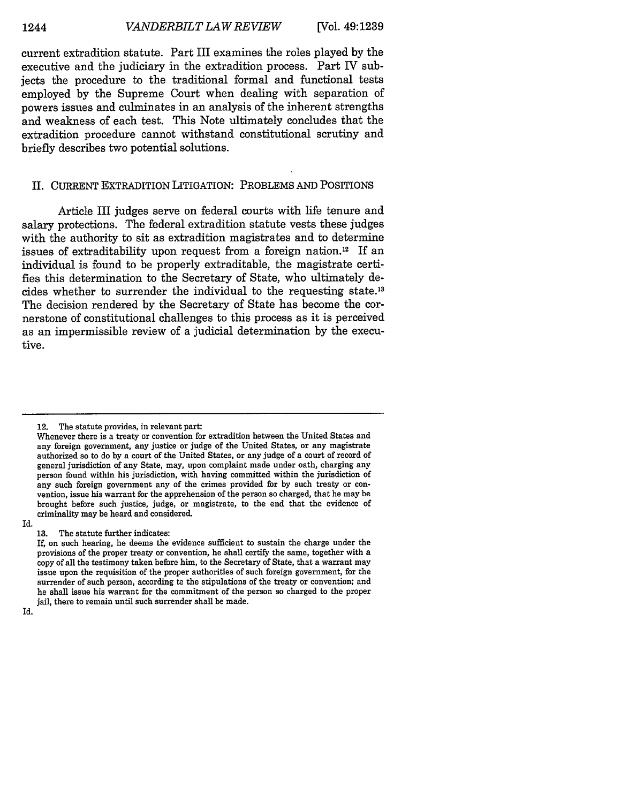current extradition statute. Part III examines the roles played by the executive and the judiciary in the extradition process. Part IV subjects the procedure to the traditional formal and functional tests employed by the Supreme Court when dealing with separation of powers issues and culminates in an analysis of the inherent strengths and weakness of each test. This Note ultimately concludes that the extradition procedure cannot withstand constitutional scrutiny and briefly describes two potential solutions.

#### II. CURRENT EXTRADITION LITIGATION: PROBLEMS **AND** POSITIONS

Article III judges serve on federal courts with life tenure and salary protections. The federal extradition statute vests these judges with the authority to sit as extradition magistrates and to determine issues of extraditability upon request from a foreign nation. 12 If an individual is found to be properly extraditable, the magistrate certifies this determination to the Secretary of State, who ultimately decides whether to surrender the individual to the requesting state. <sup>13</sup> The decision rendered by the Secretary of State has become the cornerstone of constitutional challenges to this process as it is perceived as an impermissible review of a judicial determination by the executive.

Id.

13. The statute further indicates:

<sup>12.</sup> The statute provides, in relevant part:

Whenever there is a treaty or convention for extradition between the United States and any foreign government, any justice or judge of the United States, or any magistrate authorized so to do by a court of the United States, or any judge of a court of record of general jurisdiction of any State, may, upon complaint made under oath, charging any person found within his jurisdiction, with having committed within the jurisdiction of any such foreign government any of the crimes provided for by such treaty or convention, issue his warrant for the apprehension of the person so charged, that he may be brought before such justice, judge, or magistrate, to the end that the evidence of criminality may be heard and considered.

If, on such hearing, he deems the evidence sufficient to sustain the charge under the provisions of the proper treaty or convention, he shall certify the same, together with a copy of all the testimony taken before him, to the Secretary of State, that a warrant may issue upon the requisition of the proper authorities of such foreign government, for the surrender of such person, according te the stipulations of the treaty or convention; and he shall issue his warrant for the commitment of the person so charged to the proper jail, there to remain until such surrender shall be made.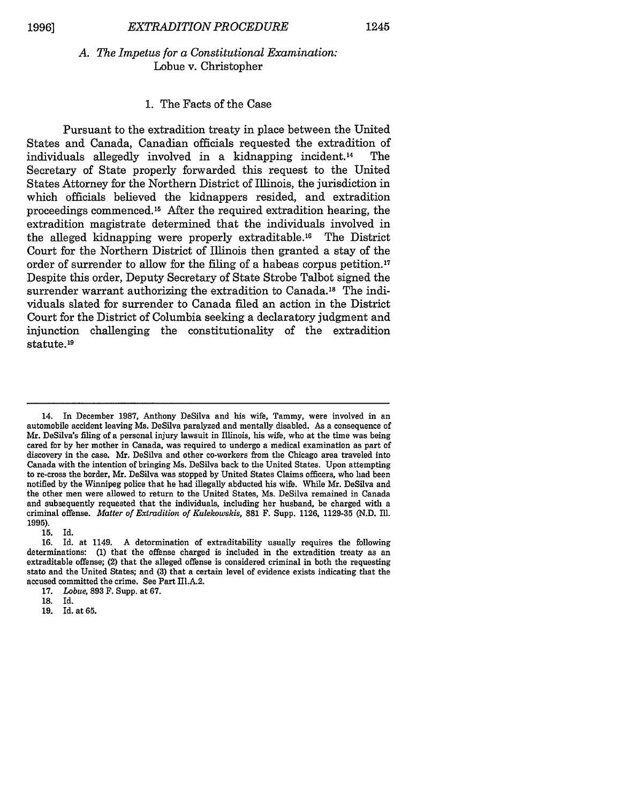#### *A. The Impetus for a Constitutional Examination:* Lobue v. Christopher

#### 1. The Facts of the Case

Pursuant to the extradition treaty in place between the United States and Canada, Canadian officials requested the extradition of individuals allegedly involved in a kidnapping incident.<sup>14</sup> The individuals allegedly involved in a kidnapping incident.<sup>14</sup> Secretary of State properly forwarded this request to the United States Attorney for the Northern District of Illinois, the jurisdiction in which officials believed the kidnappers resided, and extradition proceedings commenced.<sup>15</sup> After the required extradition hearing, the extradition magistrate determined that the individuals involved in the alleged kidnapping were properly extraditable.<sup>16</sup> The District Court for the Northern District of Illinois then granted a stay of the order of surrender to allow for the filing of a habeas corpus petition.<sup>17</sup> Despite this order, Deputy Secretary of State Strobe Talbot signed the surrender warrant authorizing the extradition to Canada.<sup>18</sup> The individuals slated for surrender to Canada filed an action in the District Court for the District of Columbia seeking a declaratory judgment and injunction challenging the constitutionality of the extradition statute.<sup>19</sup>

**15.** Id.

**19.** Id. at **65.**

<sup>14.</sup> In December 1987, Anthony DeSilva and his wife, Tammy, were involved in an automobile accident leaving Ms. DeSilva paralyzed and mentally disabled. As a consequence of Mr. DeSilva's filing of a personal injury lawsuit in Illinois, his wife, who at the time was being cared for by her mother in Canada, was required to undergo a medical examination as part of discovery in the case. Mr. DeSilva and other co-workers from the Chicago area traveled into Canada with the intention of bringing Ms. DeSilva back to the United States. Upon attempting to re-cross the border, Mr. DeSilva was stopped by United States Claims officers, who had been notified by the Winnipeg police that he had illegally abducted his wife. While Mr. DeSilva and the other men were allowed to return to the United States, Ms. DeSilva remained in Canada and subsequently requested that the individuals, including her husband, be charged with a criminal offense. *Matter of Extradition of Kulekowskis,* 881 F. Supp. 1126, 1129-35 (N.D. Ill. **1995).**

**<sup>16.</sup>** Id. at 1149. A determination of extraditability usually requires the following determinations: **(1)** that the offense charged is included in the extradition treaty as an extraditable offense; (2) that the alleged offense is considered criminal in both the requesting state and the United States; and **(3)** that a certain level of evidence exists indicating that the accused committed the crime. See Part III.A.2.

**<sup>17.</sup>** *Lobue,* **893** F. Supp. at **67.**

**<sup>18.</sup>** Id.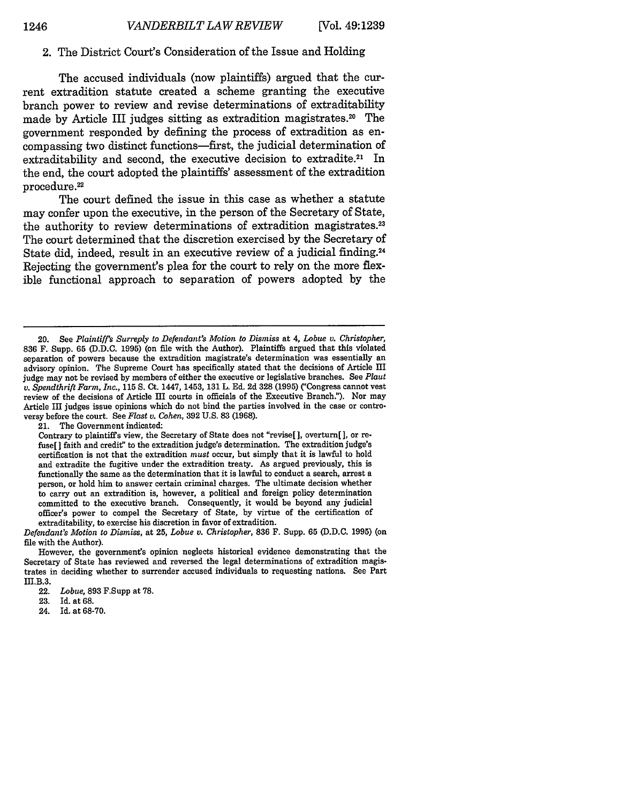#### 2. The District Court's Consideration of the Issue and Holding

The accused individuals (now plaintiffs) argued that the current extradition statute created a scheme granting the executive branch power to review and revise determinations of extraditability made by Article III judges sitting as extradition magistrates.<sup>20</sup> The government responded by defining the process of extradition as encompassing two distinct functions-first, the judicial determination of extraditability and second, the executive decision to extradite.<sup>21</sup> In the end, the court adopted the plaintiffs' assessment of the extradition procedure. <sup>22</sup>

The court defined the issue in this case as whether a statute may confer upon the executive, in the person of the Secretary of State, the authority to review determinations of extradition magistrates.<sup>23</sup> The court determined that the discretion exercised by the Secretary of State did, indeed, result in an executive review of a judicial finding.24 Rejecting the government's plea for the court to rely on the more flexible functional approach to separation of powers adopted by the

21. The Government indicated:

<sup>20.</sup> See *Plaintiffs Surreply to Defendant's Motion to Dismiss* at 4, *Lobue v. Christopher,* 836 F. Supp. 65 (D.D.C. 1995) (on file with the Author). Plaintiffs argued that this violated separation of powers because the extradition magistrate's determination was essentially an advisory opinion. The Supreme Court has specifically stated that the decisions of Article III judge may not be revised by members of either the executive or legislative branches. See *Plaut v. Spendthrift Farm, Inc.,* **115 S.** Ct. 1447, 1453, 131 L. Ed. 2d 328 (1995) ("Congress cannot vest review of the decisions of Article III courts in officials of the Executive Branch."). Nor may Article III judges issue opinions which do not bind the parties involved in the case or controversy before the court. See *Flast v. Cohen,* 392 U.S. 83 (1968).

Contrary to plaintiffs view, the Secretary of State does not "revise[], overturn[], or refuse[ ] faith and credit" to the extradition judge's determination. The extradition judge's certification is not that the extradition *must* occur, but simply that it is lawful to hold and extradite the fugitive under the extradition treaty. As argued previously, this is functionally the same as the determination that it is lawful to conduct a search, arrest a person, or hold him to answer certain criminal charges. The ultimate decision whether to carry out an extradition is, however, a political and foreign policy determination committed to the executive branch. Consequently, it would be beyond any judicial officer's power to compel the Secretary of State, **by** virtue of the certification of extraditability, to exercise his discretion in favor of extradition.

*Defendant's Motion to Dismiss,* at **25,** *Lobue v. Christopher,* 836 F. Supp. 65 (D.D.C. 1995) (on file with the Author).

However, the government's opinion neglects historical evidence demonstrating that the Secretary of State has reviewed and reversed the legal determinations of extradition magistrates in deciding whether to surrender accused individuals to requesting nations. See Part III.B.3.

<sup>22.</sup> *Lobue,* 893 F.Supp at 78.

<sup>23.</sup> Id. at 68.

<sup>24.</sup> Id. at 68-70.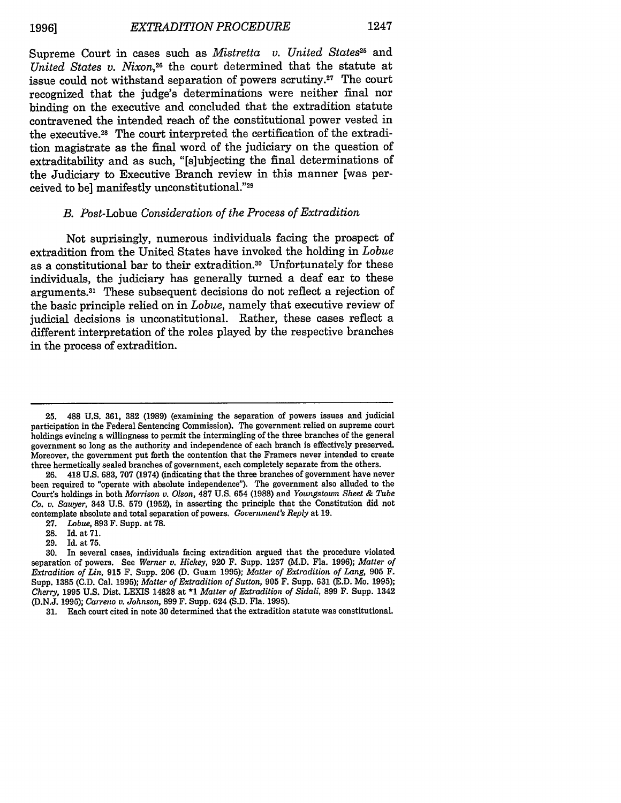Supreme Court in cases such as *Mistretta v. United States*<sup>25</sup> and *United States v. Nixon,26* the court determined that the statute at issue could not withstand separation of powers scrutiny.<sup>27</sup> The court recognized that the judge's determinations were neither final nor binding on the executive and concluded that the extradition statute contravened the intended reach of the constitutional power vested in the executive.<sup>28</sup> The court interpreted the certification of the extradition magistrate as the final word of the judiciary on the question of extraditability and as such, "[s]ubjecting the final determinations of the Judiciary to Executive Branch review in this manner [was perceived to be] manifestly unconstitutional."29

#### *B.* Post-Lobue *Consideration of the Process of Extradition*

Not suprisingly, numerous individuals facing the prospect of extradition from the United States have invoked the holding in *Lobue* as a constitutional bar to their extradition.30 Unfortunately for these individuals, the judiciary has generally turned a deaf ear to these arguments.<sup>31</sup> These subsequent decisions do not reflect a rejection of the basic principle relied on in *Lobue,* namely that executive review of judicial decisions is unconstitutional. Rather, these cases reflect a different interpretation of the roles played by the respective branches in the process of extradition.

27. *Lobue,* 893 F. Supp. at 78.

<sup>25. 488</sup> U.S. 361, 382 (1989) (examining the separation of powers issues and judicial participation in the Federal Sentencing Commission). The government relied on supreme court holdings evincing a willingness to permit the intermingling of the three branches of the general government so long as the authority and independence of each branch is effectively preserved. Moreover, the government put forth the contention that the Framers never intended to create three hermetically sealed branches of government, each completely separate from the others.<br>26. 418 U.S. 683, 707 (1974) (indicating that the three branches of government have ne

<sup>26. 418</sup> U.S. 683, 707 (1974) (indicating that the three branches of government have never been required to "operate with absolute independence"). The government also alluded to the Court's holdings in both *Morrison v. Olson,* 487 U.S. 654 (1988) and *Youngstown Sheet & Tube Co. v. Sawyer,* 343 U.S. 579 (1952), in asserting the principle that the Constitution did not contemplate absolute and total separation of powers. *Government's Reply* at 19.

<sup>28.</sup> Id. at 71.

<sup>29.</sup> Id. at 75.

<sup>30.</sup> In several cases, individuals facing extradition argued that the procedure violated separation of powers. See *Werner v. Hickey,* 920 F. Supp. 1257 (M.D. Fla. 1996); *Matter of Extradition of Lin,* 915 F. Supp. 206 (D. Guam 1995); *Matter of Extradition of Lang,* 905 F. Supp. 1385 (C.D. Cal. 1995); *Matter of Extradition of Sutton,* 905 F. Supp. 631 (E.D. Mo. 1995); *Cherry,* 1995 U.S. Dist. LEXIS 14828 at \*1 *Matter of Extradition of Sidali,* 899 F. Supp. 1342 (D.N.J. 1995); *Carreno v. Johnson,* 899 F. Supp. 624 (S.D. Fla. 1995).

<sup>31.</sup> Each court cited in note **30** determined that the extradition statute was constitutional.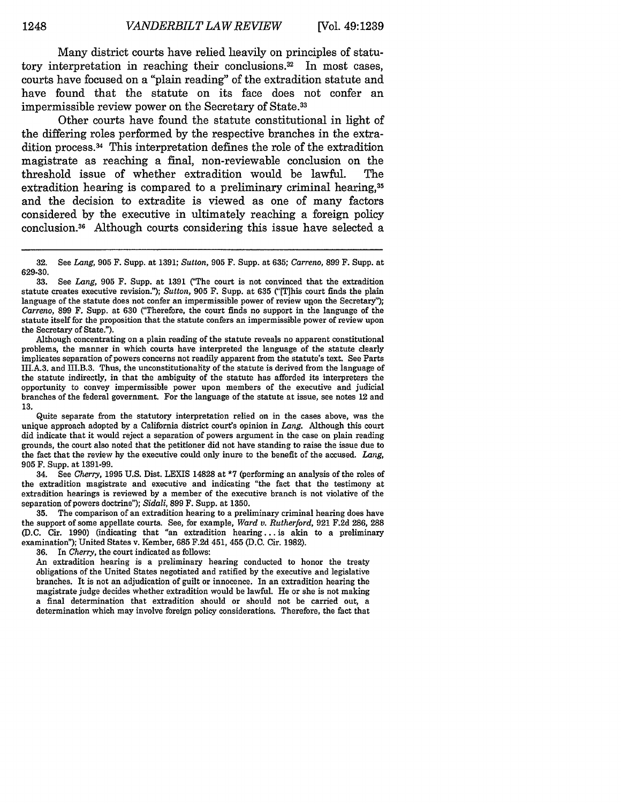Many district courts have relied heavily on principles of statutory interpretation in reaching their conclusions.<sup>32</sup> In most cases, courts have focused on a "plain reading" of the extradition statute and have found that the statute on its face does not confer an impermissible review power on the Secretary of State.<sup>33</sup>

Other courts have found the statute constitutional in light of the differing roles performed by the respective branches in the extradition process. 34 This interpretation defines the role of the extradition magistrate as reaching a final, non-reviewable conclusion on the threshold issue of whether extradition would be lawful. The extradition hearing is compared to a preliminary criminal hearing.<sup>35</sup> and the decision to extradite is viewed as one of many factors considered by the executive in ultimately reaching a foreign policy conclusion. 36 Although courts considering this issue have selected a

Although concentrating on a plain reading of the statute reveals no apparent constitutional problems, the manner in which courts have interpreted the language of the statute clearly implicates separation of powers concerns not readily apparent from the statute's text. See Parts III.A.3. and III.B.3. Thus, the unconstitutionality of the statute is derived from the language of the statute indirectly, in that the ambiguity of the statute has afforded its interpreters the opportunity to convey impermissible power upon members of the executive and judicial branches of the federal government. For the language of the statute at issue, see notes 12 and 13.

Quite separate from the statutory interpretation relied on in the cases above, was the unique approach adopted by a California district court's opinion in *Lang.* Although this court did indicate that it would reject a separation of powers argument in the case on plain reading grounds, the court also noted that the petitioner did not have standing to raise the issue due to the fact that the review by the executive could only inure to the benefit of the accused. *Lang,* 905 F. Supp. at 1391-99.

34. See *Cherry,* **1995** U.S. Dist. LEXIS 14828 at \*7 (performing an analysis of the roles of the extradition magistrate and executive and indicating "the fact that the testimony at extradition hearings is reviewed by a member of the executive branch is not violative of the separation of powers doctrine"); *Sidali,* 899 F. Supp. at 1350.

**35.** The comparison of an extradition hearing to a preliminary criminal hearing does have the support of some appellate courts. See, for example, *Word v. Rutherford,* 921 F.2d 286, **288** (D.C. Cir. 1990) (indicating that "an extradition hearing **...** is akin to a preliminary examination"); United States v. Kember, 685 F.2d 451, 455 (D.C. Cir. 1982).

36. In *Cherry,* the court indicated as follows:

An extradition hearing is a preliminary hearing conducted to honor the treaty obligations of the United States negotiated and ratified by the executive and legislative branches. It is not an adjudication of guilt or innocence. In an extradition hearing the magistrate judge decides whether extradition would be lawful. He or she is not making a final determination that extradition should or should not be carried out, a determination which may involve foreign policy considerations. Therefore, the fact that

**<sup>32.</sup>** See *Lang,* **905** F. Supp. at **1391;** *Sutton,* **905** F. Supp. at **635;** *Carreno,* **899** F. Supp. at  $629-30.$ <br> $33.$ 

<sup>33.</sup> See *Lang,* 905 F. Supp. at 1391 ('The court is not convinced that the extradition statute creates executive revision."); *Sutton,* 905 F. Supp. at **635** C'This court finds the plain language of the statute does not confer an impermissible power of review upon the Secretary"); *Carreno,* 899 F. Supp. at 630 ("Therefore, the court finds no support in the language of the statute itself for the proposition that the statute confers an impermissible power of review upon the Secretary of State.").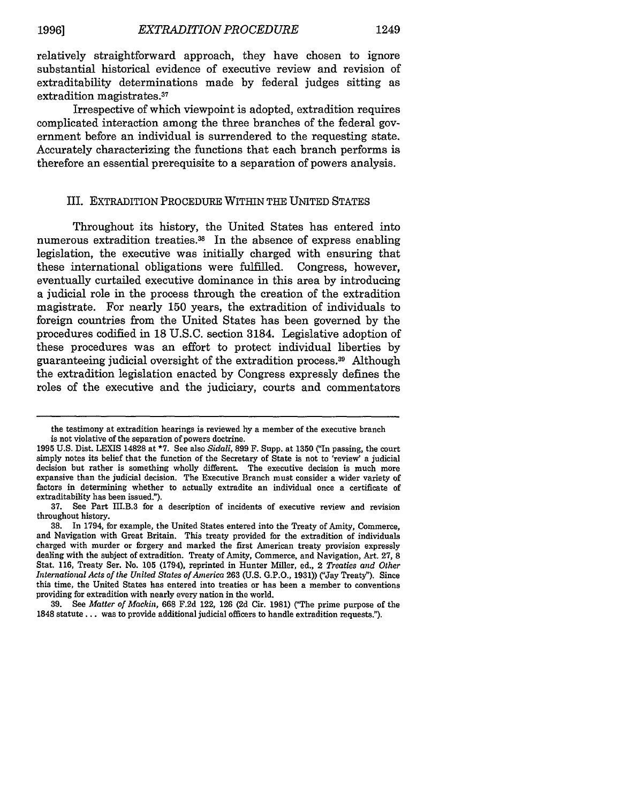relatively straightforward approach, they have chosen to ignore substantial historical evidence of executive review and revision of extraditability determinations made by federal judges sitting as extradition magistrates.<sup>37</sup>

Irrespective of which viewpoint is adopted, extradition requires complicated interaction among the three branches of the federal government before an individual is surrendered to the requesting state. Accurately characterizing the functions that each branch performs is therefore an essential prerequisite to a separation of powers analysis.

#### III. EXTRADITION PROCEDURE WITHIN THE UNITED STATES

Throughout its history, the United States has entered into numerous extradition treaties.<sup>38</sup> In the absence of express enabling legislation, the executive was initially charged with ensuring that these international obligations were fulfilled. Congress, however, eventually curtailed executive dominance in this area by introducing a judicial role in the process through the creation of the extradition magistrate. For nearly 150 years, the extradition of individuals to foreign countries from the United States has been governed by the procedures codified in 18 U.S.C. section 3184. Legislative adoption of these procedures was an effort to protect individual liberties by guaranteeing judicial oversight of the extradition process. 39 Although the extradition legislation enacted by Congress expressly defines the roles of the executive and the judiciary, courts and commentators

the testimony at extradition hearings is reviewed by a member of the executive branch is not violative of the separation of powers doctrine.

<sup>1995</sup> U.S. Dist. LEXIS 14828 at **\*7.** See also *Sidali,* 899 F. Supp. at 1350 ('In passing, the court simply notes its belief that the function of the Secretary of State is not to 'review' a judicial decision but rather is something wholly different. The executive decision is much more expansive than the judicial decision. The Executive Branch must consider a wider variety of factors in determining whether to actually extradite an individual once a certificate of extraditability has been issued.").

**<sup>37.</sup>** See Part II.B.3 for a description of incidents of executive review and revision throughout history.

<sup>38.</sup> In 1794, for example, the United States entered into the Treaty of Amity, Commerce, and Navigation with Great Britain. This treaty provided for the extradition of individuals charged with murder or forgery and marked the first American treaty provision expressly dealing with the subject of extradition. Treaty of Amity, Commerce, and Navigation, Art. 27, **8** Stat. 116, Treaty Ser. No. 105 (1794), reprinted in Hunter Miller, ed., 2 *Treaties and Other International Acts of the United States of America* **263 (U.S.** G.P.O., 1931)) ("Jay Treaty"). Since this time, the United States has entered into treaties or has been a member to conventions providing for extradition with nearly every nation in the world.

<sup>39.</sup> See *Matter of Mackin,* **668** F.2d 122, 126 (2d Cir. 1981) (The prime purpose of the 1848 statute... was to provide additional judicial officers to handle extradition requests.").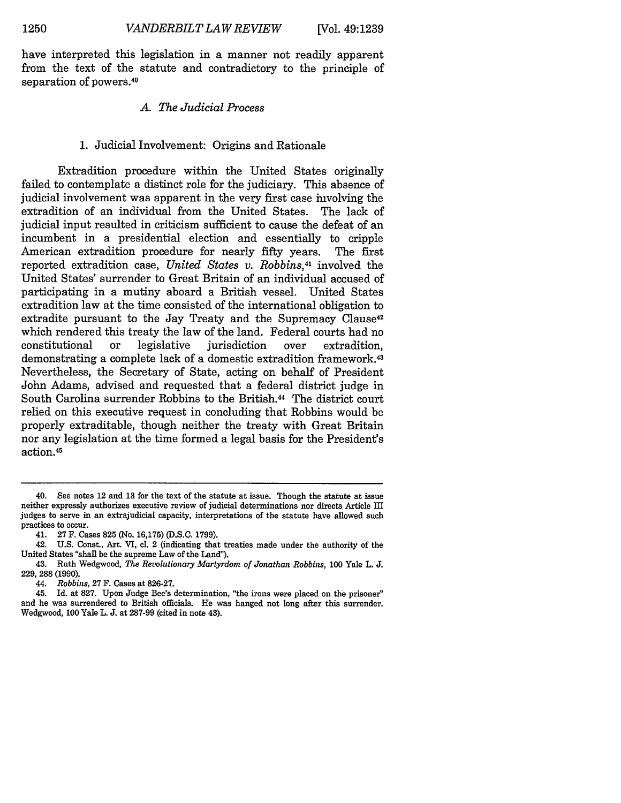have interpreted this legislation in a manner not readily apparent from the text of the statute and contradictory to the principle of separation of powers.<sup>40</sup>

#### *A. The Judicial Process*

#### 1. Judicial Involvement: Origins and Rationale

Extradition procedure within the United States originally failed to contemplate a distinct role for the judiciary. This absence of judicial involvement was apparent in the very first case involving the extradition of an individual from the United States. The lack of judicial input resulted in criticism sufficient to cause the defeat of an incumbent in a presidential election and essentially to cripple American extradition procedure for nearly **fifty** years. The first reported extradition case, *United States v. Robbins,41* involved the United States' surrender to Great Britain of an individual accused of participating in a mutiny aboard a British vessel. United States extradition law at the time consisted of the international obligation to extradite pursuant to the Jay Treaty and the Supremacy Clause<sup>42</sup> which rendered this treaty the law of the land. Federal courts had no constitutional or legislative jurisdiction over extradition, demonstrating a complete lack of a domestic extradition framework. <sup>43</sup> Nevertheless, the Secretary of State, acting on behalf of President John Adams, advised and requested that a federal district judge in South Carolina surrender Robbins to the British.<sup>44</sup> The district court relied on this executive request in concluding that Robbins would be properly extraditable, though neither the treaty with Great Britain nor any legislation at the time formed a legal basis for the President's action. <sup>45</sup>

<sup>40.</sup> See notes 12 and 13 for the text of the statute at issue. Though the statute at issue neither expressly authorizes executive review of judicial determinations nor directs Article III judges to serve in an extrajudicial capacity, interpretations of the statute have allowed such practices to occur.

<sup>41. 27</sup> F. Cases 825 (No. 16,175) (D.S.C. 1799).

<sup>42.</sup> U.S. Const., Art. VI, cl. 2 (indicating that treaties made under the authority of the United States "shall be the supreme Law of the Land").

<sup>43.</sup> Ruth Wedgwood, *The Revolutionary Martyrdom of Jonathan Robbins,* **100** Yale L. J. 229, 288 (1990).

<sup>44.</sup> *Robbins,* 27 F. Cases at 826-27.

<sup>45.</sup> Id. at 827. Upon Judge Bee's determination, "the irons were placed on the prisoner" and he was surrendered to British officials. He was hanged not long after this surrender. Wedgwood, 100 Yale L. J. at 287-99 (cited in note 43).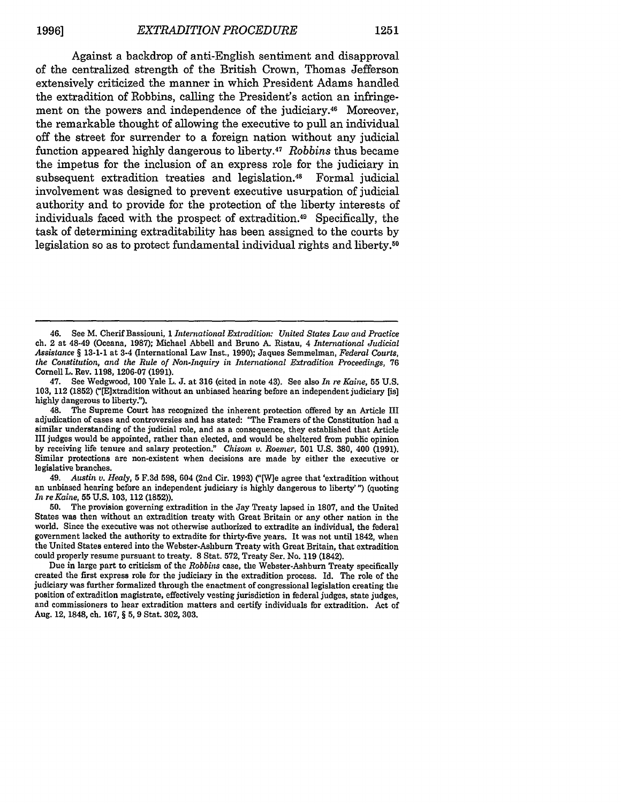Against a backdrop of anti-English sentiment and disapproval of the centralized strength of the British Crown, Thomas Jefferson extensively criticized the manner in which President Adams handled the extradition of Robbins, calling the President's action an infringement on the powers and independence of the judiciary.<sup>46</sup> Moreover, the remarkable thought of allowing the executive to pull an individual off the street for surrender to a foreign nation without any judicial function appeared highly dangerous to liberty.47 *Robbins* thus became the impetus for the inclusion of an express role for the judiciary in subsequent extradition treaties and legislation.<sup>48</sup> Formal judicial involvement was designed to prevent executive usurpation of judicial authority and to provide for the protection of the liberty interests of individuals faced with the prospect of extradition.49 Specifically, the task of determining extraditability has been assigned to the courts by legislation so as to protect fundamental individual rights and liberty.<sup>50</sup>

47. See Wedgwood, **100** Yale L. **J.** at 316 (cited in note 43). See also *In re Kaine,* **55** U.S. 103, 112 (1852) ("[E]xtradition without an unbiased hearing before an independent judiciary [is] highly dangerous to liberty.").

<sup>46.</sup> See M. Cherif Bassiouni, 1 *International Extradition: United States Law and Practice* ch. 2 at 48-49 (Oceana, 1987); Michael Abbell and Bruno A. Ristau, 4 *International Judicial Assistance §* 13-1-1 at 3-4 (International Law Inst., 1990); Jaques Semmelman, *Federal Courts, the Constitution, and the Rule of Non-Inquiry in International Extradition Proceedings,* **76** Cornell L. Rev. 1198, 1206-07 (1991).

<sup>48.</sup> The Supreme Court has recognized the inherent protection offered by an Article III adjudication of cases and controversies and has stated: "The Framers of the Constitution had a similar understanding of the judicial role, and as a consequence, they established that Article III judges would be appointed, rather than elected, and would be sheltered from public opinion by receiving life tenure and salary protection." *Chisom v. Roemer*, 501 U.S. 380, 400 (1991). Similar protections are non-existent when decisions are made by either the executive or legislative branches.

<sup>49.</sup> *Austin v. Healy,* 5 F.3d 598, 604 (2nd Cir. 1993) ("[W]e agree that 'extradition without an unbiased hearing before an independent judiciary is highly dangerous to liberty' ") (quoting *In re Kaine,* **55 U.S. 103,** 112 (1852)).

**<sup>50.</sup>** The provision governing extradition in the Jay Treaty lapsed in 1807, and the United States was then without an extradition treaty with Great Britain or any other nation in the world. Since the executive was not otherwise authorized to extradite an individual, the federal government lacked the authority to extradite for thirty-five years. It was not until 1842, when the United States entered into the Webster-Ashburn Treaty with Great Britain, that extradition could properly resume pursuant to treaty. 8 Stat. **572,** Treaty Ser. No. 119 (1842).

Due in large part to criticism of the *Robbins* case, the Webster-Ashburn Treaty specifically created the first express role for the judiciary in the extradition process. **Id.** The role of the judiciary was further formalized through the enactment of congressional legislation creating the position of extradition magistrate, effectively vesting jurisdiction in federal judges, state judges, and commissioners to hear extradition matters and certify individuals for extradition. Act of Aug. 12, 1848, ch. 167, *§* **5,** 9 Stat. 302, 303.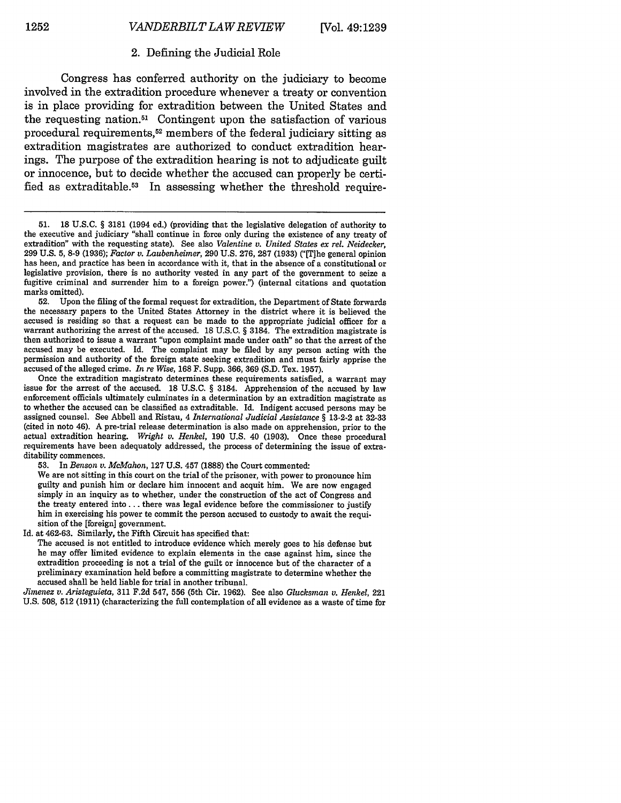#### 2. Defining the Judicial Role

Congress has conferred authority on the judiciary to become involved in the extradition procedure whenever a treaty or convention is in place providing for extradition between the United States and the requesting nation.51 Contingent upon the satisfaction of various procedural requirements,<sup>52</sup> members of the federal judiciary sitting as extradition magistrates are authorized to conduct extradition hearings. The purpose of the extradition hearing is not to adjudicate guilt or innocence, but to decide whether the accused can properly be certified as extraditable.<sup>53</sup> In assessing whether the threshold require-

52. Upon the filing of the formal request for extradition, the Department of State forwards the necessary papers to the United States Attorney in the district where it is believed the accused is residing so that a request can be made to the appropriate judicial officer for a warrant authorizing the arrest of the accused. 18 U.S.C. § 3184. The extradition magistrate is then authorized to issue a warrant "upon complaint made under oath" so that the arrest of the accused may be executed. Id. The complaint may be filed by any person acting with the permission and authority of the foreign state seeking extradition and must fairly apprise the accused of the alleged crime. *In re Wise,* **168** F. Supp. 366, 369 (S.D. Tex. 1957).

Once the extradition magistrate determines these requirements satisfied, a warrant may issue for the arrest of the accused. **18** U.S.C. § 3184. Apprehension of the accused by law enforcement officials ultimately culminates in a determination by an extradition magistrate as to whether the accused can be classified as extraditable. Id. Indigent accused persons may be assigned counsel. See Abbell and Ristau, 4 *International Judicial Assistance §* 13-2-2 at 32-33 (cited in note 46). A pre-trial release determination is also made on apprehension, prior to the actual extradition hearing. *Wright v. Henkel,* 190 U.S. 40 (1903). Once these procedural requirements have been adequatoly addressed, the process of determining the issue of extraditability commences.

53. In *Benson v. McMahon,* 127 U.S. 457 (1888) the Court commented:

We are not sitting in this court on the trial of the prisoner, with power to pronounce him guilty and punish him or declare him innocent and acquit him. We are now engaged simply in an inquiry as to whether, under the construction of the act of Congress and the treaty entered into **...** there was legal evidence before the commissioner to justify him in exercising his power te commit the person accused to custody to await the requisition of the [foreign] government.

Id. at 462-63. Similarly, the Fifth Circuit has specified that:

The accused is not entitled to introduce evidence which merely goes to his defense but he may offer limited evidence to explain elements in the case against him, since the extradition proceeding is not a trial of the guilt or innocence but of the character of a preliminary examination held before a committing magistrate to determine whether the accused shall be held liable for trial in another tribunal.

*Jimenez v. Aristeguieta,* 311 F.2d 547, **556** (5th Cir. 1962). See also *Glucksinan v. Henkel,* 221 U.S. 508, 512 (1911) (characterizing the full contemplation of all evidence as a waste of time for

<sup>51. 18</sup> U.S.C. § 3181 (1994 ed.) (providing that the legislative delegation of authority to the executive and judiciary "shall continue in force only during the existence of any treaty of extradition" with the requesting state). See also *Valentine v. United States ex rel. Neidecker,* 299 U.S. 5, 8-9 (1936); *Factor v. Laubenheimer,* 290 U.S. 276, 287 (1933) ("[T]he general opinion has been, and practice has been in accordance with it, that in the absence of a constitutional or legislative provision, there is no authority vested in any part of the government to seize a fugitive criminal and surrender him to a foreign power.") (internal citations and quotation marks omitted).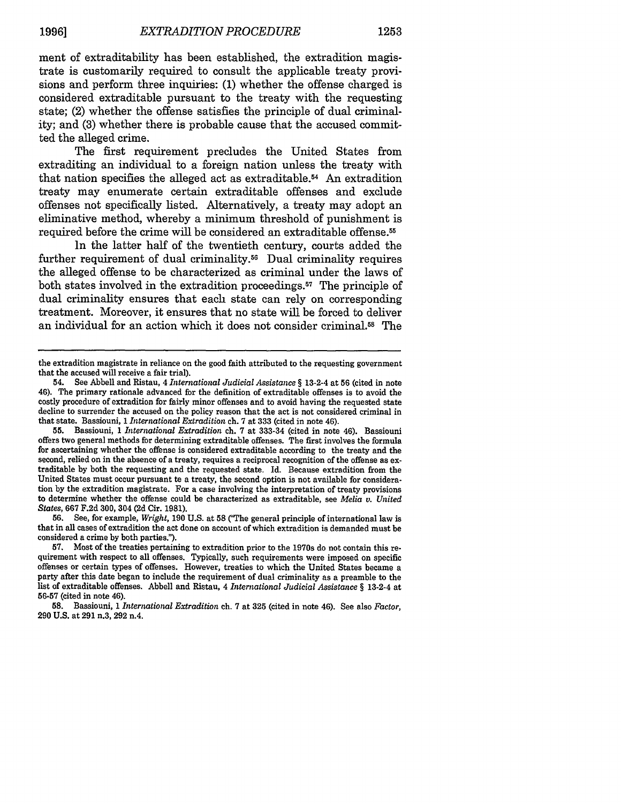ment of extraditability has been established, the extradition magistrate is customarily required to consult the applicable treaty provisions and perform three inquiries: (1) whether the offense charged is considered extraditable pursuant to the treaty with the requesting state; (2) whether the offense satisfies the principle of dual criminality; and (3) whether there is probable cause that the accused committed the alleged crime.

The first requirement precludes the United States from extraditing an individual to a foreign nation unless the treaty with that nation specifies the alleged act as extraditable.54 An extradition treaty may enumerate certain extraditable offenses and exclude offenses not specifically listed. Alternatively, a treaty may adopt an eliminative method, whereby a minimum threshold of punishment is required before the crime will be considered an extraditable offense. <sup>55</sup>

In the latter half of the twentieth century, courts added the further requirement of dual criminality.<sup>56</sup> Dual criminality requires the alleged offense to be characterized as criminal under the laws of both states involved in the extradition proceedings.<sup>57</sup> The principle of dual criminality ensures that each state can rely on corresponding treatment. Moreover, it ensures that no state will be forced to deliver an individual for an action which it does not consider criminal.58 The

**56.** See, for example, *Wright,* 190 U.S. at **58** ('The general principle of international law is that in all cases of extradition the act done on account of which extradition is demanded must be considered a crime by both parties.").

the extradition magistrate in reliance on the good faith attributed to the requesting government that the accused will receive a fair trial).

<sup>54.</sup> See Abbell and Ristau, 4 *International Judicial Assistance §* 13-2-4 at 56 (cited in note 46). The primary rationale advanced for the definition of extraditable offenses is to avoid the costly procedure of extradition for fairly minor offenses and to avoid having the requested state decline to surrender the accused on the policy reason that the act is not considered criminal in that state. Bassiouni, 1 *International Extradition* ch. 7 at 333 (cited in note 46).

**<sup>55.</sup>** Bassiouni, 1 *International Extradition* ch. 7 at 333-34 (cited in note 46). Bassiouni offers two general methods for determining extraditable offenses. The first involves the formula for ascertaining whether the offense is considered extraditable according to the treaty and the second, relied on in the absence of a treaty, requires a reciprocal recognition of the offense as extraditable by both the requesting and the requested state. Id. Because extradition from the United States must occur pursuant to a treaty, the second option is not available for consideration by the extradition magistrate. For a case involving the interpretation of treaty provisions to determine whether the offense could be characterized as extraditable, see *Melia v. United States,* 667 F.2d 300, 304 (2d Cir. 1981).

**<sup>57.</sup>** Most of the treaties pertaining to extradition prior to the 1970s do not contain this re- quirement with respect to all offenses. Typically, such requirements were imposed on specific offenses or certain types of offenses. However, treaties to which the United States became a party after this date began to include the requirement of dual criminality as a preamble to the list of extraditable offenses. Abbell and Ristau, 4 *International Judicial Assistance §* 13-2-4 at **56-57** (cited in note 46).

**<sup>58.</sup>** Bassiouni, 1 *International Extradition* ch. **7** at **325** (cited in note 46). See also *Factor,* **290** U.S. at 291 n.3, 292 n.4.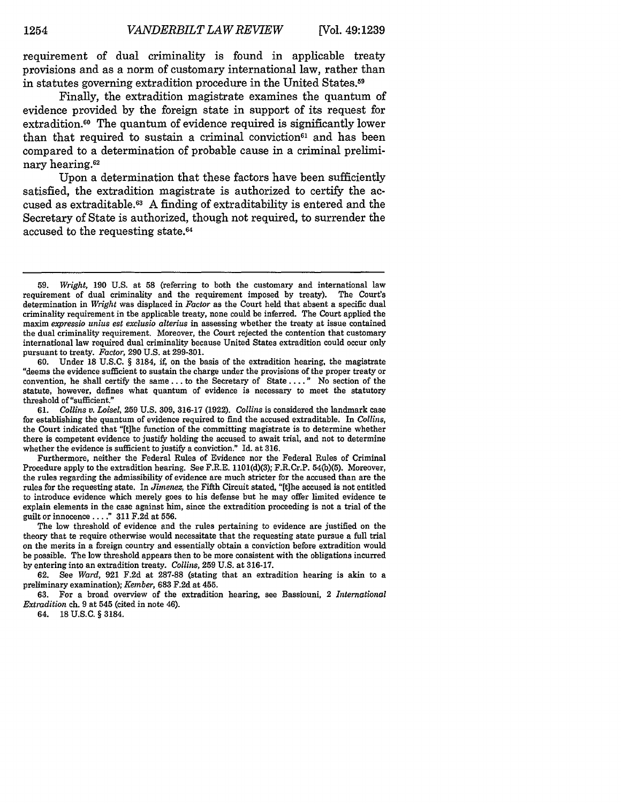requirement of dual criminality is found in applicable treaty provisions and as a norm of customary international law, rather than in statutes governing extradition procedure in the United States.<sup>59</sup>

Finally, the extradition magistrate examines the quantum of evidence provided by the foreign state in support of its request for extradition.<sup>60</sup> The quantum of evidence required is significantly lower than that required to sustain a criminal conviction<sup> $61$ </sup> and has been compared to a determination of probable cause in a criminal preliminary hearing.<sup>62</sup>

Upon a determination that these factors have been sufficiently satisfied, the extradition magistrate is authorized to certify the accused as extraditable.<sup>63</sup> A finding of extraditability is entered and the Secretary of State is authorized, though not required, to surrender the accused to the requesting state.64

**60.** Under **18 U.S.C.** § 3184, if, on the basis of the extradition hearing, the magistrate "deems the evidence sufficient to sustain the charge under the provisions of the proper treaty or convention, he shall certify the same.., to the Secretary of State **....** No section of the statute, however, defines what quantum of evidence is necessary to meet the statutory threshold of "sufficient."<br>61. Collins v. Loise

Furthermore, neither the Federal Rules of Evidence nor the Federal Rules of Criminal Procedure apply to the extradition hearing. See F.R.E. 1101(d)(3); F.R.Cr.P. 54(b)(5). Moreover, the rules regarding the admissibility of evidence are much stricter for the accused than are the rules for the requesting state. In *Jimenez,* the Fifth Circuit stated, "[t]he accused is not entitled to introduce evidence which merely goes to his defense but he may offer limited evidence to explain elements in the case against him, since the extradition proceeding is not a trial of the guilt or innocence **....** 311 F.2d at 556.

The low threshold of evidence and the rules pertaining to evidence are justified on the theory that te require otherwise would necessitate that the requesting state pursue a full trial on the merits in a foreign country and essentially obtain a conviction before extradition would be possible. The low threshold appears then to be more consistent with the obligations incurred by entering into an extradition treaty. *Collins,* **259** U.S. at 316-17.

62. See *Ward,* 921 F.2d at 287-88 (stating that an extradition hearing is akin to a preliminary examination); *Keinber,* 683 F.2d at 455.

63. For a broad overview of the extradition hearing, see Bassiouni, 2 *International Extradition* ch. 9 at 545 (cited in note 46).

64. 18 U.S.C. § 3184.

<sup>59.</sup> *Wright,* 190 U.S. at 58 (referring to both the customary and international law requirement of dual criminality and the requirement imposed by treaty). The Court's determination in *Wright* was displaced in *Factor* as the Court held that absent a specific dual criminality requirement in the applicable treaty, none could be inferred. The Court applied the maxim *expressio unius est exclusio alterius* in assessing whether the treaty at issue contained the dual criminality requirement. Moreover, the Court rejected the contention that customary international law required dual criminality because United States extradition could occur only pursuant to treaty. *Factor,* 290 U.S. at 299-301.

<sup>61.</sup> *Collins v. Loisel,* **259** U.S. 309, 316-17 (1922). *Collins* is considered the landmark case for establishing the quantum of evidence required to find the accused extraditable. In *Collins,* the Court indicated that "[t]he function of the committing magistrate is to determine whether there is competent evidence to justify holding the accused to await trial, and not to determine whether the evidence is sufficient to justify a conviction." Id. at 316.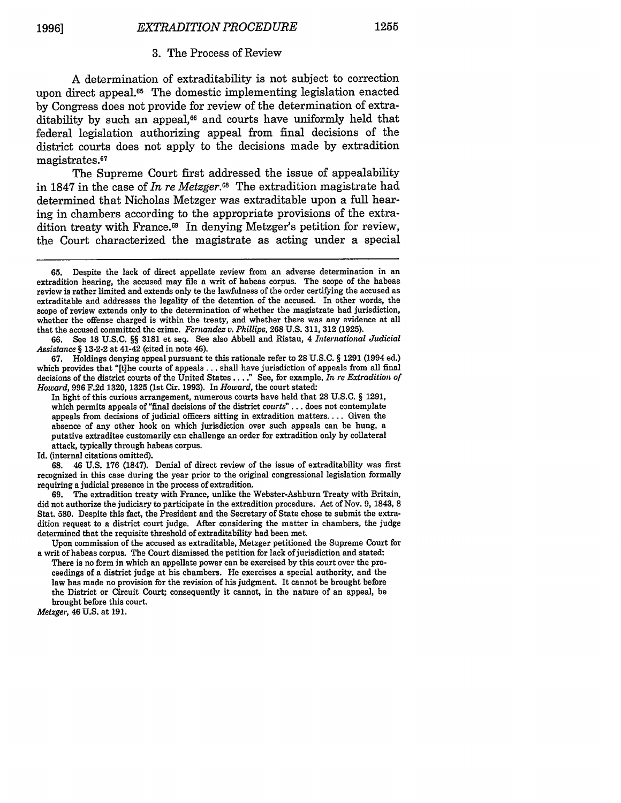#### 3. The Process of Review

A determination of extraditability is not subject to correction upon direct appeal.<sup>65</sup> The domestic implementing legislation enacted by Congress does not provide for review of the determination of extraditability by such an appeal,<sup>66</sup> and courts have uniformly held that federal legislation authorizing appeal from final decisions of the district courts does not apply to the decisions made by extradition magistrates.<sup>67</sup>

The Supreme Court first addressed the issue of appealability in 1847 in the case of *In re Metzger.68* The extradition magistrate had determined that Nicholas Metzger was extraditable upon a full hearing in chambers according to the appropriate provisions of the extradition treaty with France.69 In denying Metzger's petition for review, the Court characterized the magistrate as acting under a special

67. Holdings denying appeal pursuant to this rationale refer to 28 U.S.C. § 1291 (1994 ed.) which provides that "[t]he courts of appeals.., shall have jurisdiction of appeals from all final decisions of the district courts of the United States .... " See, for example, *In re Extradition of Howard,* 996 F.2d 1320, 1325 (1st Cir. 1993). In *Howard,* the court stated:

Id. (internal citations omitted).

**68.** 46 U.S. 176 (1847). Denial of direct review of the issue of extraditability was first recognized in this case during the year prior to the original congressional legislation formally requiring a judicial presence in the process of extradition.

69. The extradition treaty with France, unlike the Webster-Ashburn Treaty with Britain, did not authorize the judiciary to participate in the extradition procedure. Act of Nov. 9, 1843, **8** Stat. **580.** Despite this fact, the President and the Secretary of State chose to submit the extradition request to a district court judge. After considering the matter in chambers, the judge determined that the requisite threshold of extraditabiity had been met.

Upon commission of the accused as extraditable, Metzger petitioned the Supreme Court for a writ of habeas corpus. The Court dismissed the petition for lack of jurisdiction and stated:

There is no form in which an appellate power can be exercised by this court over the proceedings of a district judge at his chambers. He exercises a special authority, and the law has made no provision for the revision of his judgment. It cannot be brought before the District or Circuit Court; consequently it cannot, in the nature of an appeal, be brought before this court.

*Metzger,* 46 U.S. at 191.

**<sup>65.</sup>** Despite the lack of direct appellate review from an adverse determination in an extradition hearing, the accused may file a writ of habeas corpus. The scope of the habeas review is rather limited and extends only to the lawfulness of the order certifying the accused as extraditable and addresses the legality of the detention of the accused. In other words, the scope of review extends only to the determination of whether the magistrate had jurisdiction, whether the offense charged is within the treaty, and whether there was any evidence at all that the accused committed the crime. *Fernandez v. Phillips,* 268 U.S. 311, 312 (1925).

**<sup>66.</sup>** See **18** U.S.C. §§ 3181 et seq. See also Abbell and Ristau, 4 *International Judicial Assistance* § **13-2-2** at 41-42 (cited in note 46).

In light of this curious arrangement, numerous courts have held that 28 U.S.C. § 1291, which permits appeals of "final decisions of the district *courts"...* does not contemplate appeals from decisions of judicial officers sitting in extradition matters.... Given the absence of any other hook on which jurisdiction over such appeals can be hung, a putative extraditee customarily can challenge an order for extradition only by collateral attack, typically through habeas corpus.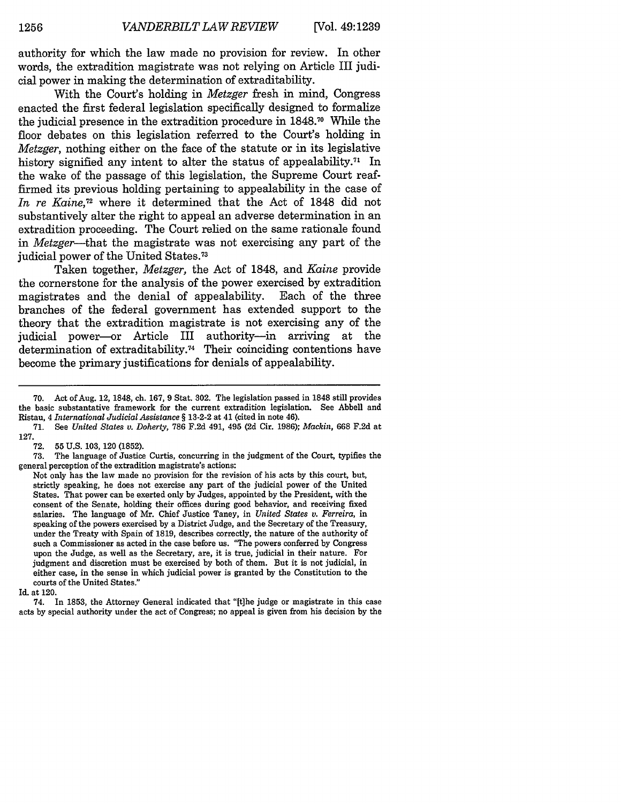authority for which the law made no provision for review. In other words, the extradition magistrate was not relying on Article III judicial power in making the determination of extraditability.

With the Court's holding in *Metzger* fresh in mind, Congress enacted the first federal legislation specifically designed to formalize the judicial presence in the extradition procedure in **1848.70** While the floor debates on this legislation referred to the Court's holding in *Metzger,* nothing either on the face of the statute or in its legislative history signified any intent to alter the status of appealability.<sup> $71$ </sup> In the wake of the passage of this legislation, the Supreme Court reaffirmed its previous holding pertaining to appealability in the case of *In re Kaine,72* where it determined that the Act of **1848** did not substantively alter the right to appeal an adverse determination in an extradition proceeding. The Court relied on the same rationale found in *Metzger-that* the magistrate was not exercising any part of the judicial power of the United States.<sup>73</sup>

Taken together, *Metzger,* the Act of **1848,** and *Kaine* provide the cornerstone for the analysis of the power exercised **by** extradition magistrates and the denial of appealability. Each of the three branches of the federal government has extended support to the theory that the extradition magistrate is not exercising any of the judicial power-or Article III authority-in arriving at the  $d$  determination of extraditability.<sup>74</sup> Their coinciding contentions have become the primary justifications for denials of appealability.

**<sup>70.</sup>** Act of Aug. 12, **1848,** ch. **167, 9** Stat. **302.** The legislation passed in **1848** still provides the basic substantative framework for the current extradition legislation. See Abbell and Ristau, 4 *International Judicial Assistance §* **13-2-2** at 41 (cited in note 46).

**<sup>71.</sup>** See *United States v. Doherty,* **786 F.2d** 491, 495 **(2d** Cir. **1986);** *Mackin,* **668 F.2d** at **127.**

**<sup>72. 55</sup>U.S. 103, 120 (1852).**

**<sup>73.</sup>** The language of Justice Curtis, concurring in the judgment of the Court, typifies the general perception of the extradition magistrate's actions:

Not only has the law made no provision for the revision of his acts **by** this court, but, strictly speaking, he does not exercise any part of the judicial power of the United States. That power can be exerted only **by** Judges, appointed **by** the President, with the consent of the Senate, holding their offices during good behavior, and receiving fixed salaries. The language of **Mr.** Chief Justice Taney, in *United States v. Ferreira,* in speaking of the powers exercised **by** a District Judge, and the Secretary of the Treasury, under the Treaty with Spain of **1819,** describes correctly, the nature of the authority of such a Commissioner as acted in the case before us. "The powers conferred **by** Congress upon the Judge, as well as the Secretary, are, it is true, judicial in their nature. For judgment and discretion must be exercised **by** both of them. But it is not judicial, in either case, in the sense in which judicial power is granted **by** the Constitution to the courts of the United States."

Id. at 120.

<sup>74.</sup> In **1853,** the Attorney General indicated that "(tihe judge or magistrate in this case acts **by** special authority under the act of Congress; no appeal is given from his decision **by** the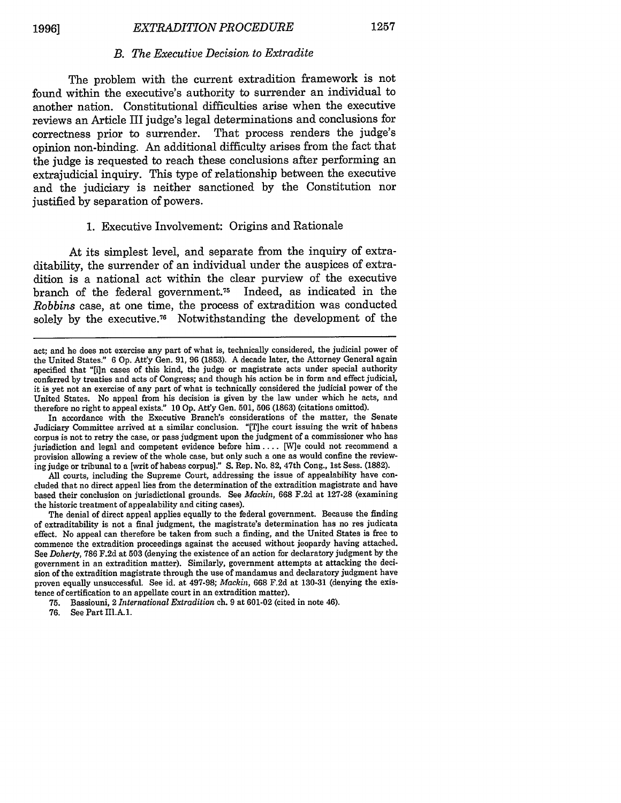#### *B. The Executive Decision to Extradite*

The problem with the current extradition framework is not found within the executive's authority to surrender an individual to another nation. Constitutional difficulties arise when the executive reviews an Article III judge's legal determinations and conclusions for correctness prior to surrender. That process renders the judge's opinion non-binding. An additional difficulty arises from the fact that the judge is requested to reach these conclusions after performing an extrajudicial inquiry. This type of relationship between the executive and the judiciary is neither sanctioned by the Constitution nor justified by separation of powers.

#### 1. Executive Involvement: Origins and Rationale

At its simplest level, and separate from the inquiry of extraditability, the surrender of an individual under the auspices of extradition is a national act within the clear purview of the executive branch of the federal government.<sup>75</sup> Indeed, as indicated in the *Robbins* case, at one time, the process of extradition was conducted solely by the executive.<sup>76</sup> Notwithstanding the development of the

In accordance with the Executive Branch's considerations of the matter, the Senate Judiciary Committee arrived at a similar conclusion. "[Tihe court issuing the writ of habeas corpus is not to retry the case, or pass judgment upon the judgment of a commissioner who has jurisdiction and legal and competent evidence before him .... [W]e could not recommend a provision allowing a review of the whole case, but only such a one as would confine the reviewing judge or tribunal to a [writ of habeas corpus]." S. Rep. No. 82, 47th Cong., 1st Sess. (1882).

All courts, including the Supreme Court, addressing the issue of appealability have concluded that no direct appeal lies from the determination of the extradition magistrate and have based their conclusion on jurisdictional grounds. See *Mackin,* 668 F.2d at 127-28 (examining the historic treatment of appealability and citing cases).

The denial of direct appeal applies equally to the federal government. Because the finding of extraditability is not a final judgment, the magistrate's determination has no res judicata effect. No appeal can therefore be taken from such a finding, and the United States is free to commence the extradition proceedings against the accused without jeopardy having attached. See *Doherty,* 786 F.2d at 503 (denying the existence of an action for declaratory judgment by the government in an extradition matter). Similarly, government attempts at attacking the decision of the extradition magistrate through the use of mandamus and declaratory judgment have proven equally unsuccessful. See id. at 497-98; *Mackin,* 668 F.2d at 130-31 (denying the existence of certification to an appellate court in an extradition matter).

76. See Part III.A.1.

act; and he does not exercise any part of what is, technically considered, the judicial power of the United States." 6 Op. Att'y Gen. 91, 96 (1853). A decade later, the Attorney General again specified that "[i]n cases of this kind, the judge or magistrate acts under special authority conferred by treaties and acts of Congress; and though his action be in form and effect judicial, it is yet not an exercise of any part of what is technically considered the judicial power of the United States. No appeal from his decision is given by the law under which he acts, and therefore no right to appeal exists." 10 Op. Att'y Gen. 501, 506 (1863) (citations omitted).

<sup>75.</sup> Bassiouni, 2 *International Extradition* ch. 9 at 601-02 (cited in note 46).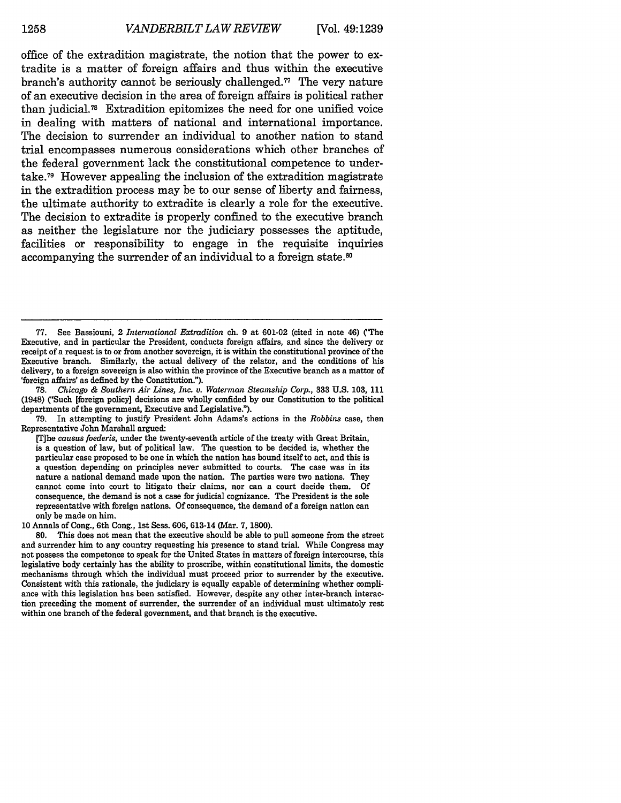office of the extradition magistrate, the notion that the power to extradite is a matter of foreign affairs and thus within the executive branch's authority cannot be seriously challenged.<sup>77</sup> The very nature of an executive decision in the area of foreign affairs is political rather than judicial. 78 Extradition epitomizes the need for one unified voice in dealing with matters of national and international importance. The decision to surrender an individual to another nation to stand trial encompasses numerous considerations which other branches of the federal government lack the constitutional competence to undertake.<sup>79</sup> However appealing the inclusion of the extradition magistrate in the extradition process may be to our sense of liberty and fairness, the ultimate authority to extradite is clearly a role for the executive. The decision to extradite is properly confined to the executive branch as neither the legislature nor the judiciary possesses the aptitude, facilities or responsibility to engage in the requisite inquiries accompanying the surrender of an individual to a foreign state.<sup>80</sup>

78. *Chicago & Southern Air Lines, Inc. v. Waterman Steamship Corp.,* 333 U.S. 103, 111 (1948) ('Such [foreign policy] decisions are wholly confided by our Constitution to the political departments of the government, Executive and Legislative.").

79. In attempting to justify President John Adams's actions in the *Robbins* case, then Representative John Marshall argued:

10 Annals of Cong., 6th Cong., 1st Sess. 606, 613-14 (Mar. 7, 1800).

80. This does not mean that the executive should be able to pull someone from the street and surrender him to any country requesting his presence to stand trial. While Congress may not possess the competence to speak for the United States in matters of foreign intercourse, this legislative body certainly has the ability to proscribe, within constitutional limits, the domestic mechanisms through which the individual must proceed prior to surrender by the executive. Consistent with this rationale, the judiciary is equally capable of determining whether compliance with this legislation has been satisfied. However, despite any other inter-branch interaction preceding the moment of surrender, the surrender of an individual must ultimately rest within one branch of the federal government, and that branch is the executive.

<sup>77.</sup> See Bassiouni, 2 *International Extradition* ch. 9 at 601-02 (cited in note 46) ("The Executive, and in particular the President, conducts foreign affairs, and since the delivery or receipt of a request is to or from another sovereign, it is within the constitutional province of the Executive branch. Similarly, the actual delivery of the relator, and the conditions of his delivery, to a foreign sovereign is also within the province of the Executive branch as a mattor of 'foreign affairs' as defined by the Constitution.").

<sup>[</sup>T]he *causus foederis,* under the twenty-seventh article of the treaty with Great Britain, is a question of law, but of political law. The question to be decided is, whether the particular case proposed to be one in which the nation has bound itself to act, and this is a question depending on principles never submitted to courts. The case was in its nature a national demand made upon the nation. The parties were two nations. They cannot come into court to litigate their claims, nor can a court decide them. Of consequence, the demand is not a case for judicial cognizance. The President is the sole representative with foreign nations. **Of** consequence, the demand of a foreign nation can only be made on him.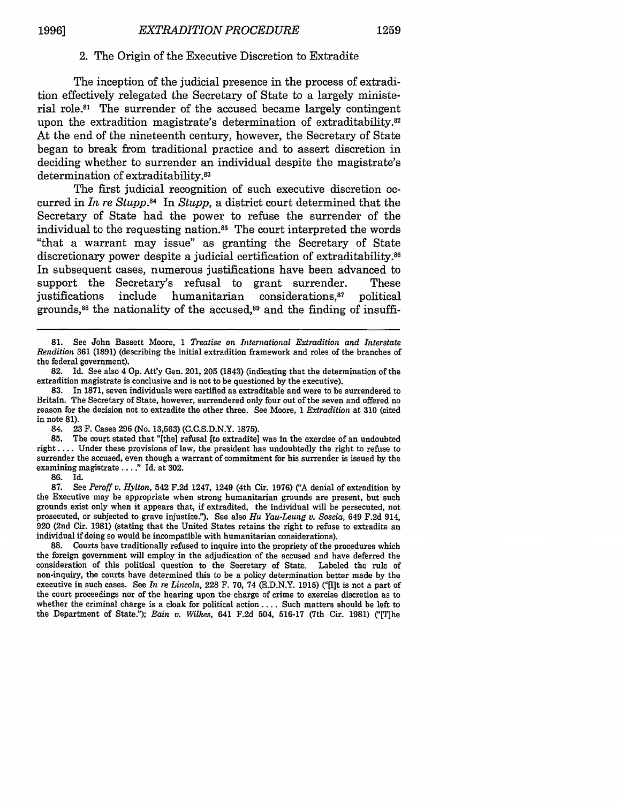#### 2. The Origin of the Executive Discretion to Extradite

The inception of the judicial presence in the process of extradition effectively relegated the Secretary of State to a largely ministerial role.<sup>81</sup> The surrender of the accused became largely contingent upon the extradition magistrate's determination of extraditability. $82$ At the end of the nineteenth century, however, the Secretary of State began to break from traditional practice and to assert discretion in deciding whether to surrender an individual despite the magistrate's determination of extraditability.<sup>83</sup>

The first judicial recognition of such executive discretion occurred in *In re Stupp.84* In *Stupp,* a district court determined that the Secretary of State had the power to refuse the surrender of the individual to the requesting nation.<sup>85</sup> The court interpreted the words "that a warrant may issue" as granting the Secretary of State discretionary power despite a judicial certification of extraditability.<sup>86</sup> In subsequent cases, numerous justifications have been advanced to support the Secretary's refusal to grant surrender. These justifications include humanitarian considerations,<sup>87</sup> political grounds, 88 the nationality of the accused,89 and the finding of insuffi-

83. In 1871, seven individuals were certified as extraditable and were to be surrendered to Britain. The Secretary of State, however, surrendered only four out of the seven and offered no reason for the decision not to extradite the other three. See Moore, 1 *Extradition* at 310 (cited in note 81).

84. 23 F. Cases 296 (No. 13,563) (C.C.S.D.N.Y. 1875).

85. The court stated that "[the] refusal [to extradite] was in the exercise of an undoubted right .... Under these provisions of law, the president has undoubtedly the right to refuse to surrender the accused, even though a warrant of commitment for his surrender is issued by the examining magistrate **.... "** Id. at 302.

86. Id.<br>87. See

87. See *Peroff v. Hylton,* 542 F.2d 1247, 1249 (4th Cir. 1976) ("A denial of extradition by the Executive may be appropriate when strong humanitarian grounds are present, but such grounds exist only when it appears that, if extradited, the individual will be persecuted, not prosecuted, or subjected to grave injustice."). See also *Hu Yau-Leung v. Soscia,* 649 F.2d 914, 920 (2nd Cir. 1981) (stating that the United States retains the right to refuse to extradite an individual if doing so would be incompatible with humanitarian considerations).

88. Courts have traditionally refused to inquire into the propriety of the procedures which the foreign government will employ in the adjudication of the accused and have deferred the consideration of this political question to the Secretary of State. Labeled the rule of non-inquiry, the courts have determined this to be a policy determination better made by the executive in such cases. See *In re Lincoln,* 228 F. 70, 74 (E.D.N.Y. 1915) ("[I]t is not a part of the court proceedings nor of the hearing upon the charge of crime to exercise discretion as to whether the criminal charge is a cloak for political action .... Such matters should be left to the Department of State."); *Eain v. Wilkes*, 641 F.2d 504, 516-17 (7th Cir. 1981) ("[T]he

<sup>81.</sup> See John Bassett Moore, 1 *Treatise on International Extradition and Interstate Rendition* 361 (1891) (describing the initial extradition framework and roles of the branches of the federal government).

<sup>82.</sup> Id. See also 4 Op. Att'y Gen. 201, 205 (1843) (indicating that the determination of the extradition magistrate is conclusive and is not to be questioned by the executive).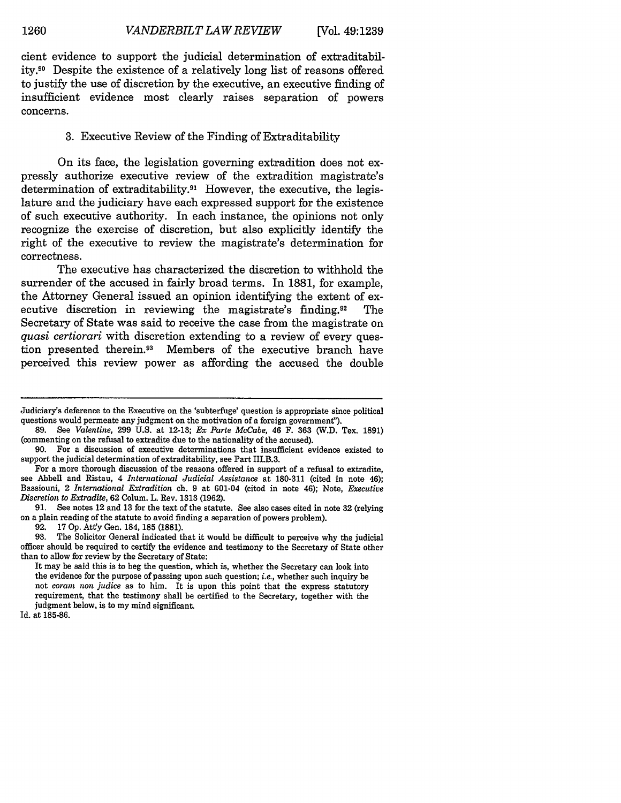cient evidence to support the judicial determination of extraditability.9 Despite the existence of a relatively long list of reasons offered to justify the use of discretion **by** the executive, an executive finding of insufficient evidence most clearly raises separation of powers concerns.

#### **3.** Executive Review of the Finding of Extraditability

On its face, the legislation governing extradition does not expressly authorize executive review of the extradition magistrate's determination of extraditability.91 However, the executive, the legislature and the judiciary have each expressed support for the existence of such executive authority. In each instance, the opinions not only recognize the exercise of discretion, but also explicitly identify the right of the executive to review the magistrate's determination for correctness.

The executive has characterized the discretion to withhold the surrender of the accused in fairly broad terms. In **1881,** for example, the Attorney General issued an opinion identifying the extent of executive discretion in reviewing the magistrate's finding.92 The Secretary of State was said to receive the case from the magistrate on *quasi certiorari* with discretion extending to a review of every question presented therein.93 Members of the executive branch have perceived this review power as affording the accused the double

**92.** 17 **Op. Att'y** Gen. **184,** 185 (1881).

Id. at **185-86.**

Judiciary's deference to the Executive on the 'subterfuge' question is appropriate since political questions would permeate any judgment on the motivation of a foreign government').

**<sup>89.</sup>** See *Valentine,* **299 U.S.** at **12-13;** *Ex Parte McCabe,* 46 F. **363 (W.D.** Tex. **1891)** (commenting on the refusal to extradite due to the nationality of the accused).

**<sup>90.</sup>** For a discussion of executive determinations that insufficient evidence existed to support the judicial determination of extraditability, see Part III.B.3.

For a more thorough discussion of the reasons offered in support of a refusal to extradite, see Abbell and Ristau, 4 *International Judicial Assistance* at **180-311** (cited in note 46); Bassiouni, 2 *International Extradition* ch. **9** at 601-04 (cited in note 46); Note, *Executive Discretion to Extradite,* **62** Colum. L. Rev. **1313 (1962).**

**<sup>91.</sup>** See notes 12 and **13** for the text of the statute. See also cases cited in note **32** (relying on a plain reading of the statute to avoid finding a separation of powers problem).

**<sup>93.</sup>** The Solicitor General indicated that it would be difficult to perceive why the judicial officer should be required to certify the evidence and testimony to the Secretary of State other than to allow for review **by** the Secretary of State:

It may be said this is to beg the question, which is, whether the Secretary can look into the evidence for the purpose of passing upon such question; *i.e.,* whether such inquiry be not *coram* **non** *judice* as to him. It is upon this point that the express statutory requirement, that the testimony shall be certified to the Secretary, together with the judgment below, is to my mind significant.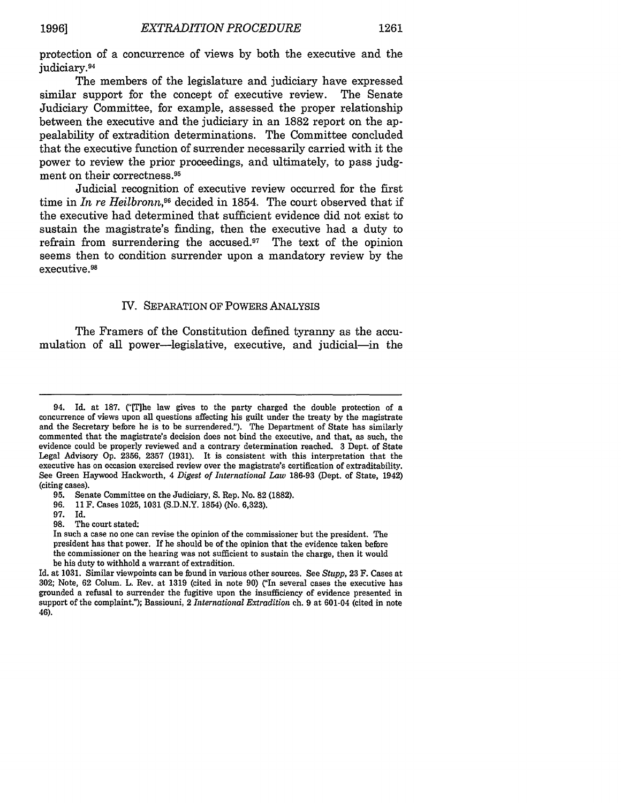protection of a concurrence of views by both the executive and the judiciary.<sup>94</sup>

The members of the legislature and judiciary have expressed similar support for the concept of executive review. The Senate Judiciary Committee, for example, assessed the proper relationship between the executive and the judiciary in an 1882 report on the appealability of extradition determinations. The Committee concluded that the executive function of surrender necessarily carried with it the power to review the prior proceedings, and ultimately, to pass judgment on their correctness. <sup>95</sup>

Judicial recognition of executive review occurred for the first time in *In re Heilbronn*,<sup>96</sup> decided in 1854. The court observed that if the executive had determined that sufficient evidence did not exist to sustain the magistrate's finding, then the executive had a duty to refrain from surrendering the accused. $17$  The text of the opinion seems then to condition surrender upon a mandatory review by the executive. <sup>98</sup>

#### IV. SEPARATION OF POWERS ANALYSIS

The Framers of the Constitution defined tyranny as the accumulation of all power-legislative, executive, and judicial-in the

97. Id.

98. The court stated:

<sup>94.</sup> Id. at 187. ("[T]he law gives to the party charged the double protection of a concurrence of views upon all questions affecting his guilt under the treaty by the magistrate and the Secretary before he is to be surrendered."). The Department of State has similarly commented that the magistrate's decision does not bind the executive, and that, as such, the evidence could be properly reviewed and a contrary determination reached. 3 Dept. of State Legal Advisory Op. 2356, 2357 (1931). It is consistent with this interpretation that the executive has on occasion exercised review over the magistrate's certification of extraditability. See Green Haywood Hackworth, 4 *Digest of International Law* 186-93 (Dept. of State, 1942) (citing cases).

<sup>95.</sup> Senate Committee on the Judiciary, S. Rep. No. 82 (1882).

<sup>96. 11</sup> F. Cases 1025, 1031 (S.D.N.Y. 1854) (No. 6,323).

In such a case no one can revise the opinion of the commissioner but the president. The president has that power. If he should be of the opinion that the evidence taken before the commissioner on the hearing was not sufficient to sustain the charge, then it would be his duty to withhold a warrant of extradition.

Id. at 1031. Similar viewpoints can be found in various other sources. See *Stupp,* 23 F. Cases at 302; Note, 62 Colum. L. Rev. at 1319 (cited in note 90) ("In several cases the executive has grounded a refusal to surrender the fugitive upon the insufficiency of evidence presented in support of the complaint."); Bassiouni, 2 *International Extradition* ch. 9 at 601-04 (cited in note 46).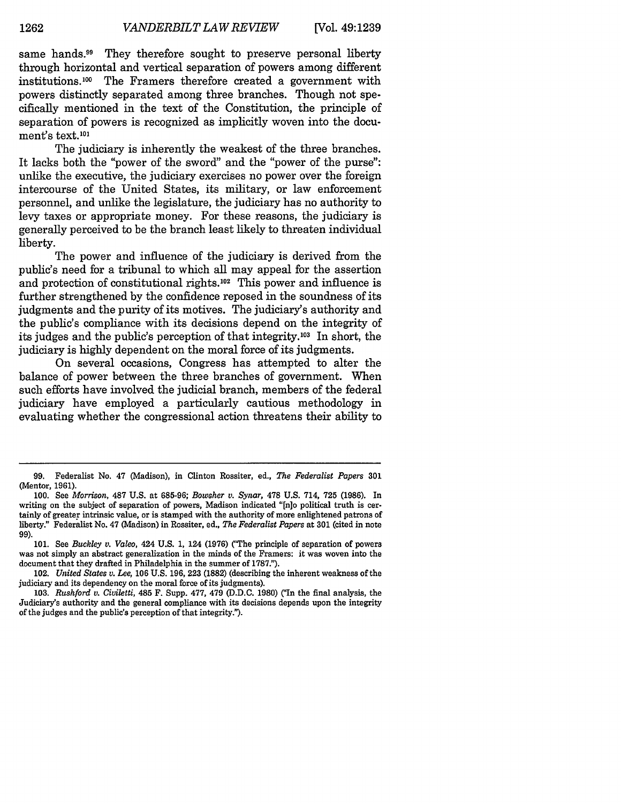same hands.<sup>99</sup> They therefore sought to preserve personal liberty through horizontal and vertical separation of powers among different institutions. 100 The Framers therefore created a government with powers distinctly separated among three branches. Though not specifically mentioned in the text of the Constitution, the principle of separation of powers is recognized as implicitly woven into the document's text.<sup>101</sup>

The judiciary is inherently the weakest of the three branches. It lacks both the "power of the sword" and the "power of the purse": unlike the executive, the judiciary exercises no power over the foreign intercourse of the United States, its military, or law enforcement personnel, and unlike the legislature, the judiciary has no authority to levy taxes or appropriate money. For these reasons, the judiciary is generally perceived to be the branch least likely to threaten individual liberty.

The power and influence of the judiciary is derived from the public's need for a tribunal to which all may appeal for the assertion and protection of constitutional rights.102 This power and influence is further strengthened by the confidence reposed in the soundness of its judgments and the purity of its motives. The judiciary's authority and the public's compliance with its decisions depend on the integrity of its judges and the public's perception of that integrity.<sup>103</sup> In short, the judiciary is highly dependent on the moral force of its judgments.

On several occasions, Congress has attempted to alter the balance of power between the three branches of government. When such efforts have involved the judicial branch, members of the federal judiciary have employed a particularly cautious methodology in evaluating whether the congressional action threatens their ability to

**<sup>99.</sup>** Federalist No. 47 (Madison), in Clinton Rossiter, ed., *The Federalist Papers* **301** (Mentor, 1961).

<sup>100.</sup> See *Morrison,* **487** U.S. at 685-96; *Bowsher v. Synar,* 478 U.S. 714, 725 (1986). In writing on the subject of separation of powers, Madison indicated "[n]o political truth is certainly of greater intrinsic value, or is stamped with the authority of more enlightened patrons of liberty." Federalist No. 47 (Madison) in Rossiter, ed., *The Federalist Papers* at 301 (cited in note **99).**

<sup>101.</sup> See *Buckley v. Valeo,* 424 U.S. 1, 124 (1976) ('CThe principle of separation of powers was not simply an abstract generalization in the minds of the Framers: it was woven into the document that they drafted in Philadelphia in the summer of 1787.").

<sup>102.</sup> *United States v. Lee,* **106 U.S. 196, 223 (1882)** (describing the inherent weakness of the judiciary and its dependency on the moral force of its judgments).

<sup>103.</sup> *Rushford v. Civiletti, 485* F. Supp. 477, 479 (D.D.C. 1980) ('In the final analysis, the Judiciary's authority and the general compliance with its decisions depends upon the integrity of the judges and the public's perception of that integrity.").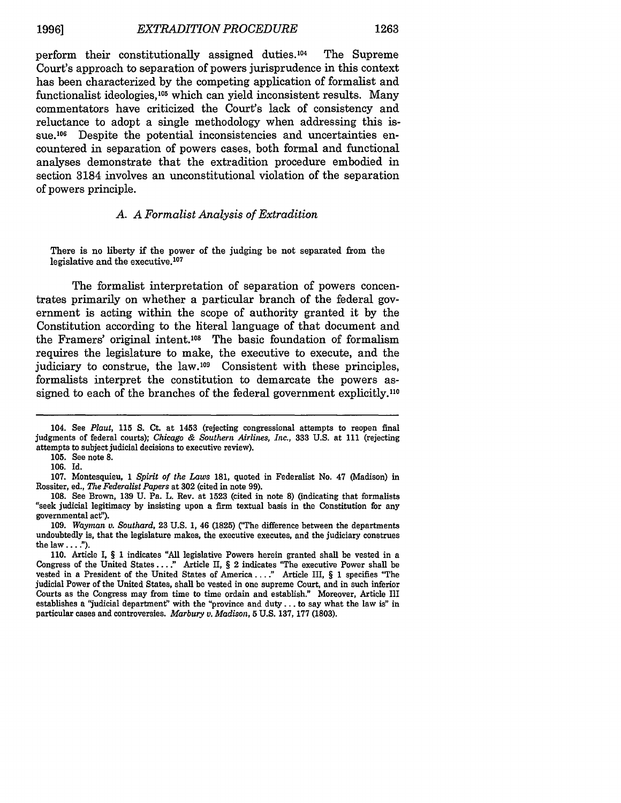perform their constitutionally assigned duties.<sup>104</sup> The Supreme Court's approach to separation of powers jurisprudence in this context has been characterized by the competing application of formalist and functionalist ideologies,<sup>105</sup> which can yield inconsistent results. Many commentators have criticized the Court's lack of consistency and reluctance to adopt a single methodology when addressing this issue.<sup>106</sup> Despite the potential inconsistencies and uncertainties encountered in separation of powers cases, both formal and functional analyses demonstrate that the extradition procedure embodied in section 3184 involves an unconstitutional violation of the separation of powers principle.

#### *A. A Formalist Analysis of Extradition*

There is no liberty if the power of the judging be not separated from the legislative and the executive. <sup>107</sup>

The formalist interpretation of separation of powers concentrates primarily on whether a particular branch of the federal government is acting within the scope of authority granted it by the Constitution according to the literal language of that document and the Framers' original intent.<sup>108</sup> The basic foundation of formalism requires the legislature to make, the executive to execute, and the judiciary to construe, the law.<sup>109</sup> Consistent with these principles, formalists interpret the constitution to demarcate the powers assigned to each of the branches of the federal government explicitly.<sup>110</sup>

<sup>104.</sup> See *Plaut,* **115 S.** Ct. at 1453 (rejecting congressional attempts to reopen final judgments of federal courts); *Chicago & Southern Airlines, Inc.,* 333 U.S. at 111 (rejecting attempts to subject judicial decisions to executive review).

<sup>105.</sup> See note **8.**

<sup>106.</sup> Id.

<sup>107.</sup> Montesquieu, 1 *Spirit of the Laws* 181, quoted in Federalist No. 47 (Madison) in Rossiter, ed., *The Federalist Papers* at 302 (cited in note 99).

**<sup>108.</sup>** See Brown, 139 U. Pa. L. Rev. at 1523 (cited in note **8)** (indicating that formalists "seek judicial legitimacy by insisting upon a firm textual basis in the Constitution for any governmental act").

<sup>109.</sup> *Wayman v. Southard,* 23 U.S. 1, 46 **(1825)** (The difference between the departments undoubtedly is, that the legislature makes, the executive executes, and the judiciary construes the law **.... ).**

<sup>110.</sup> Article I, § 1 indicates "All legislative Powers herein granted shall be vested in a Congress of the United States...." Article II,  $\S$  2 indicates "The executive Power shall be vested in a President of the United States of America...." Article III, § 1 specifies 'The judicial Power of the United States, shall be vested in one supreme Court, and in such inferior Courts as the Congress may from time to time ordain and establish." Moreover, Article III establishes a "judicial department" with the "province and duty **...** to say what the law is" in particular cases and controversies. *Marbury v. Madison,* 5 U.S. 137, 177 (1803).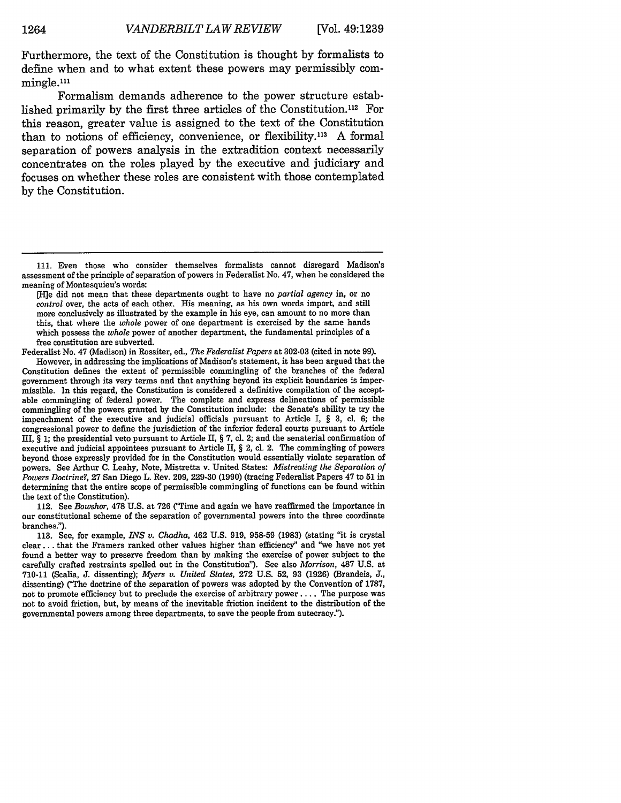Furthermore, the text of the Constitution is thought by formalists to define when and to what extent these powers may permissibly commingle.<sup>111</sup>

Formalism demands adherence to the power structure established primarily by the first three articles of the Constitution.112 For this reason, greater value is assigned to the text of the Constitution than to notions of efficiency, convenience, or flexibility.<sup>113</sup> A formal separation of powers analysis in the extradition context necessarily concentrates on the roles played by the executive and judiciary and focuses on whether these roles are consistent with those contemplated by the Constitution.

Federalist No. 47 (Madison) in Rossiter, ed., *The Federalist Papers* at 302-03 (cited in note 99).

However, in addressing the implications of Madison's statement, it has been argued that the Constitution defines the extent of permissible commingling of the branches of the federal government through its very terms and that anything beyond its explicit boundaries is impermissible. In this regard, the Constitution is considered a definitive compilation of the acceptable commingling of federal power. The complete and express delineations of permissible commingling of the powers granted by the Constitution include: the Senate's ability to try the impeachment of the executive and judicial officials pursuant to Article I, § 3, **cl.** 6; the congressional power to define the jurisdiction of the inferior federal courts pursuant to Article III, § 1; the presidential veto pursuant to Article II, § 7, cl. 2; and the senaterial confirmation of executive and judicial appointees pursuant to Article II, § 2, cl. 2. The commingling of powers beyond those expressly provided for in the Constitution would essentially violate separation of powers. See Arthur **C.** Leahy, Note, Mistretta v. United States: *Mistreating the Separation of Powers Doctrine?,* 27 San Diego L. Rev. 209, 229-30 (1990) (tracing Federalist Papers 47 to **51** in determining that the entire scope of permissible commingling of functions can be found within the text of the Constitution).

112. See *Bowsher,* 478 U.S. at 726 ("Time and again we have reaffirmed the importance in our constitutional scheme of the separation of governmental powers into the three coordinate branches.").

113. See, for example, *INS v. Chadha,* 462 U.S. 919, 958-59 (1983) (stating "it is crystal clear.., that the Framers ranked other values higher than efficiency" and "we have not yet found a better way to preserve freedom than by making the exercise of power subject to the carefully crafted restraints spelled out in the Constitution"). See also *Morrison,* 487 U.S. at 710-11 (Scalia, **J.** dissenting); *Myers v. United States,* 272 U.S. 52, 93 (1926) (Brandeis, **J.,** dissenting) ("The doctrine of the separation of powers was adopted by the Convention of **1787,** not to promote efficiency but to preclude the exercise of arbitrary power .... The purpose was not to avoid friction, but, by means of the inevitable friction incident to the distribution of the governmental powers among three departments, to save the people from autocracy.").

**<sup>111.</sup>** Even those who consider themselves formalists cannot disregard Madison's assessment of the principle of separation of powers in Federalist No. 47, when he considered the meaning of Montesquieu's words:

<sup>[</sup>Hie did not mean that these departments ought to have no *partial agency* in, or no *control* over, the acts of each other. His meaning, as his own words import, and still more conclusively as illustrated by the example in his eye, can amount to no more than this, that where the *whole* power of one department is exercised by the same hands which possess the *whole* power of another department, the fundamental principles of a free constitution are subverted.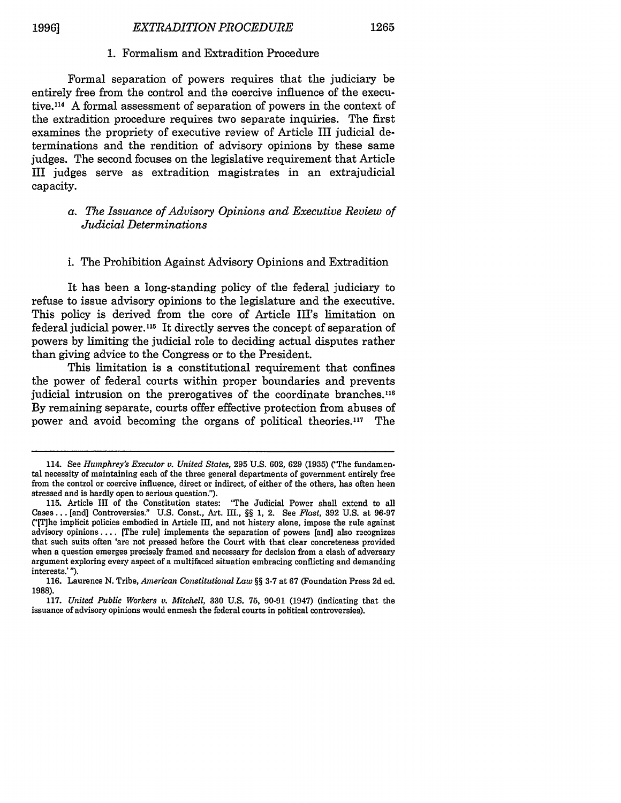#### 1. Formalism and Extradition Procedure

Formal separation of powers requires that the judiciary be entirely free from the control and the coercive influence of the executive.11 4 A formal assessment of separation of powers in the context of the extradition procedure requires two separate inquiries. The first examines the propriety of executive review of Article III judicial determinations and the rendition of advisory opinions by these same judges. The second focuses on the legislative requirement that Article III judges serve as extradition magistrates in an extrajudicial capacity.

#### *a. The Issuance of Advisory Opinions and Executive Review of Judicial Determinations*

#### i. The Prohibition Against Advisory Opinions and Extradition

It has been a long-standing policy of the federal judiciary to refuse to issue advisory opinions to the legislature and the executive. This policy is derived from the core of Article III's limitation on federal judicial power.<sup>115</sup> It directly serves the concept of separation of powers by limiting the judicial role to deciding actual disputes rather than giving advice to the Congress or to the President.

This limitation is a constitutional requirement that confines the power of federal courts within proper boundaries and prevents judicial intrusion on the prerogatives of the coordinate branches. <sup>116</sup> By remaining separate, courts offer effective protection from abuses of power and avoid becoming the organs of political theories.<sup>117</sup> The

<sup>114.</sup> See *Humphrey's Executor v. United States,* 295 U.S. 602, 629 (1935) ('CThe fundamental necessity of maintaining each of the three general departments of government entirely free from the control or coercive influence, direct or indirect, of either of the others, has often been stressed and is hardly open to serious question.").

<sup>115.</sup> Article III of the Constitution states: "The Judicial Power shall extend to all Cases... [and] Controversies." U.S. Const., Art. III., §§ 1, 2. See *Fast,* 392 U.S. at 96-97 C'T]he implicit policies embodied in Article III, and not history alone, impose the rule against advisory opinions .... [The rule] implements the separation of powers [and] also recognizes that such suits often 'are not pressed before the Court with that clear concreteness provided when a question emerges precisely framed and necessary for decision from a clash of adversary argument exploring every aspect of a multifaced situation embracing conflicting and demanding interests.' ").

<sup>116.</sup> Laurence N. Tribe, *American Constitutional Law* §§ 3-7 at 67 (Foundation Press 2d ed. 1988).

**<sup>117.</sup>** *United Public Workers v. Mitchell,* **330 U.S. 75,** 90-91 (1947) (indicating that the issuance of advisory opinions would enmesh the federal courts in political controversies).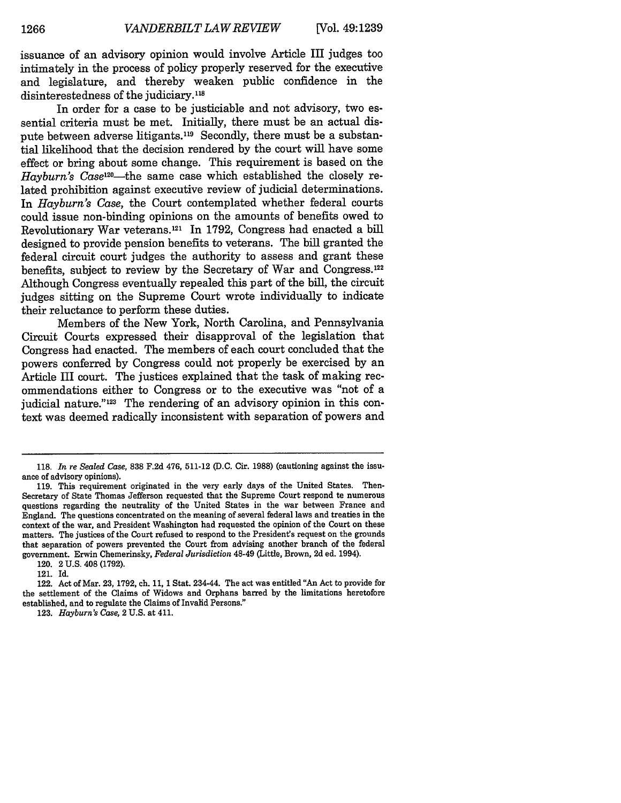issuance of an advisory opinion would involve Article III judges too intimately in the process of policy properly reserved for the executive and legislature, and thereby weaken public confidence in the disinterestedness of the judiciary.<sup>118</sup>

In order for a case to be justiciable and not advisory, two essential criteria must be met. Initially, there must be an actual dispute between adverse litigants.119 Secondly, there must be a substantial likelihood that the decision rendered by the court will have some effect or bring about some change. This requirement is based on the Hayburn's Case<sup>120</sup>—the same case which established the closely related prohibition against executive review of judicial determinations. In *Hayburn's Case,* the Court contemplated whether federal courts could issue non-binding opinions on the amounts of benefits owed to Revolutionary War veterans. 121 In 1792, Congress had enacted a bill designed to provide pension benefits to veterans. The bill granted the federal circuit court judges the authority to assess and grant these benefits, subject to review by the Secretary of War and Congress.<sup>122</sup> Although Congress eventually repealed this part of the bill, the circuit judges sitting on the Supreme Court wrote individually to indicate their reluctance to perform these duties.

Members of the New York, North Carolina, and Pennsylvania Circuit Courts expressed their disapproval of the legislation that Congress had enacted. The members of each court concluded that the powers conferred by Congress could not properly be exercised by an Article III court. The justices explained that the task of making recommendations either to Congress or to the executive was "not of a judicial nature."<sup>123</sup> The rendering of an advisory opinion in this context was deemed radically inconsistent with separation of powers and

<sup>118.</sup> *In re Sealed Case,* 838 F.2d 476, 511-12 (D.C. Cir. 1988) (cautioning against the issuance of advisory opinions).

<sup>119.</sup> This requirement originated in the very early days of the United States. Then-Secretary of State Thomas Jefferson requested that the Supreme Court respond to numerous questions regarding the neutrality of the United States in the war between France and England. The questions concentrated on the meaning of several federal laws and treaties in the context of the war, and President Washington had requested the opinion of the Court on these matters. The justices of the Court refused to respond to the President's request on the grounds that separation of powers prevented the Court from advising another branch of the federal government. Erwin Chemerinsky, *Federal Jurisdiction* 48-49 (Little, Brown, 2d ed. 1994).

<sup>120. 2</sup> U.S. 408 (1792).

<sup>121.</sup> Id.

<sup>122.</sup> Act of Mar. 23, 1792, ch. **11,** 1 Stat. 234-44. The act was entitled "An Act to provide for the settlement of the Claims of Widows and Orphans barred by the limitations heretofore established, and to regulate the Claims of Invalid Persons."

<sup>123.</sup> *Hayburn's Case,* 2 U.S. at 411.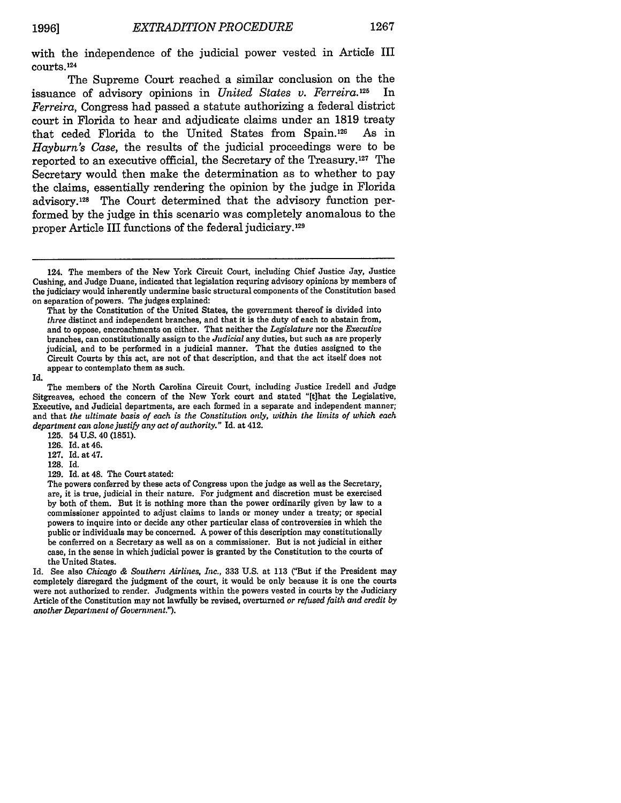with the independence of the judicial power vested in Article III courts.<sup>124</sup>

The Supreme Court reached a similar conclusion on the the issuance of advisory opinions in *United States v. Ferreira.125* In *Ferreira,* Congress had passed a statute authorizing a federal district court in Florida to hear and adjudicate claims under an 1819 treaty that ceded Florida to the United States from Spain.126 As in *Hayburn's Case,* the results of the judicial proceedings were to be reported to an executive official, the Secretary of the Treasury.127 The Secretary would then make the determination as to whether to pay the claims, essentially rendering the opinion by the judge in Florida advisory.128 The Court determined that the advisory function performed by the judge in this scenario was completely anomalous to the proper Article III functions of the federal judiciary. **<sup>129</sup>**

Id.

125. 54 **U.S.** 40 **(1851).**

126. Id. at 46.

127. Id. at 47.

128. Id.

129. Id. at 48. The Court stated:

The powers conferred by these acts of Congress upon the judge as well as the Secretary, are, it is true, judicial in their nature. For judgment and discretion must be exercised by both of them. But it is nothing more than the power ordinarily given by law to a commissioner appointed to adjust claims to lands or money under a treaty; or special powers to inquire into or decide any other particular class of controversies in which the public or individuals may be concerned. A power of this description may constitutionally be conferred on a Secretary as well as on a commissioner. But is not judicial in either case, in the sense in which judicial power is granted by the Constitution to the courts of the United States.

Id. See also *Chicago & Southern Airlines, Inc.,* 333 U.S. at 113 ("But if the President may completely disregard the judgment of the court, it would be only because it is one the courts were not authorized to render. Judgments within the powers vested in courts by the Judiciary Article of the Constitution may not lawfully be revised, overturned *or refused faith and credit by another Department of Government.").*

<sup>124.</sup> The members of the New York Circuit Court, including Chief Justice Jay, Justice Cushing, and Judge Duane, indicated that legislation requring advisory opinions by members of the judiciary would inherently undermine basic structural components of the Constitution based on separation of powers. The judges explained:

That by the Constitution of the United States, the government thereof is divided into *three* distinct and independent branches, and that it is the duty of each to abstain from, and to oppose, encroachments on either. That neither the *Legislature* nor the *Executive* branches, can constitutionally assign to the *Judicial* any duties, but such as are properly judicial, and to be performed in a judicial manner. That the duties assigned to the Circuit Courts by this act, are not of that description, and that the act itself does not appear to contemplate them as such.

The members of the North Carolina Circuit Court, including Justice Iredell and Judge Sitgreaves, echoed the concern of the New York court and stated "[t]hat the Legislative, Executive, and Judicial departments, are each formed in a separate and independent manner; and that *the ultimate basis of each is the Constitution only, within the limits of which each department* can alone *justify any act of authority."* Id. at 412.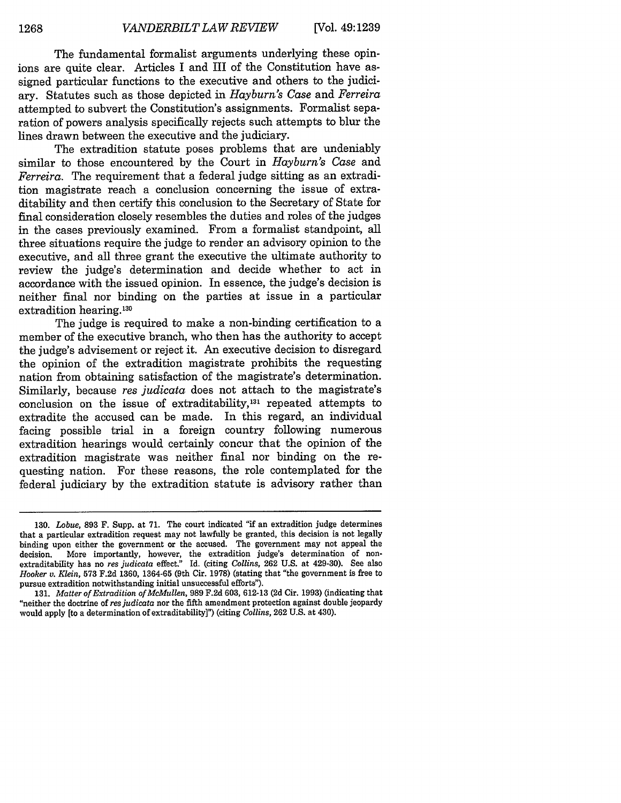The fundamental formalist arguments underlying these opinions are quite clear. Articles I and III of the Constitution have assigned particular functions to the executive and others to the judiciary. Statutes such as those depicted in *Hayburn's Case* and *Ferreira* attempted to subvert the Constitution's assignments. Formalist separation of powers analysis specifically rejects such attempts to blur the lines drawn between the executive and the judiciary.

The extradition statute poses problems that are undeniably similar to those encountered by the Court in *Hayburn's Case* and *Ferreira.* The requirement that a federal judge sitting as an extradition magistrate reach a conclusion concerning the issue of extraditability and then certify this conclusion to the Secretary of State for final consideration closely resembles the duties and roles of the judges in the cases previously examined. From a formalist standpoint, all three situations require the judge to render an advisory opinion to the executive, and all three grant the executive the ultimate authority to review the judge's determination and decide whether to act in accordance with the issued opinion. In essence, the judge's decision is neither final nor binding on the parties at issue in a particular extradition hearing.<sup>130</sup>

The judge is required to make a non-binding certification to a member of the executive branch, who then has the authority to accept the judge's advisement or reject it. An executive decision to disregard the opinion of the extradition magistrate prohibits the requesting nation from obtaining satisfaction of the magistrate's determination. Similarly, because *res judicata* does not attach to the magistrate's conclusion on the issue of extraditability,<sup>131</sup> repeated attempts to extradite the accused can be made. In this regard, an individual facing possible trial in a foreign country following numerous extradition hearings would certainly concur that the opinion of the extradition magistrate was neither final nor binding on the requesting nation. For these reasons, the role contemplated for the federal judiciary by the extradition statute is advisory rather than

<sup>130.</sup> *Lobue,* **893** F. Supp. at 71. The court indicated "if an extradition judge determines that a particular extradition request may not lawfully be granted, this decision is not legally binding upon either the government or the accused. The government may not appeal the decision. More importantly, however, the extradition judge's determination of nonextraditability has no *res judicata* effect." Id. (citing *Collins,* 262 U.S. at 429-30). See also *Hooker v. Klein,* 573 F.2d 1360, 1364-65 (9th Cir. 1978) (stating that "the government is free to pursue extradition notwithstanding initial unsuccessful efforts").

<sup>131.</sup> *Matter of Extradition of McMullen,* 989 F.2d 603, 612-13 (2d Cir. 1993) (indicating that "neither the doctrine of *resjudicata* nor the fifth amendment protection against double jeopardy would apply [to a determination of extraditability]") (citing *Collins,* **262** U.S. at 430).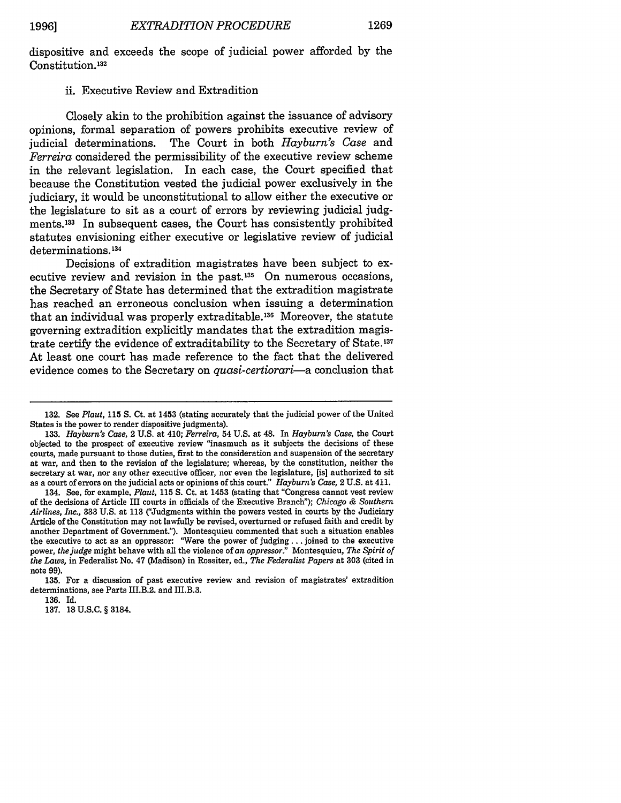dispositive and exceeds the scope of judicial power afforded **by** the Constitution. **<sup>132</sup>**

#### ii. Executive Review and Extradition

Closely akin to the prohibition against the issuance of advisory opinions, formal separation of powers prohibits executive review of judicial determinations. The Court in both *Hayburn's Case* and *Ferreira* considered the permissibility of the executive review scheme in the relevant legislation. In each case, the Court specified that because the Constitution vested the judicial power exclusively in the judiciary, it would be unconstitutional to allow either the executive or the legislature to sit as a court of errors **by** reviewing judicial **judg**ments. 133 In subsequent cases, the Court has consistently prohibited statutes envisioning either executive or legislative review of judicial determinations.<sup>134</sup>

Decisions of extradition magistrates have been subject to executive review and revision in the past. $135$  On numerous occasions, the Secretary of State has determined that the extradition magistrate has reached an erroneous conclusion when issuing a determination that an individual was properly extraditable.<sup>136</sup> Moreover, the statute governing extradition explicitly mandates that the extradition magistrate certify the evidence of extraditability to the Secretary of State.<sup>137</sup> At least one court has made reference to the fact that the delivered evidence comes to the Secretary on *quasi-certiorari-a* conclusion that

**136. Id.**

**137. 18 U.S.C. §** 3184.

**<sup>132.</sup>** See *Plaut,* **115 S.** Ct. at 1453 (stating accurately that the judicial power of the United States is the power to render dispositive judgments).

**<sup>133.</sup>** *Hayburn's Case,* 2 **U.S.** at 410; *Ferreira,* 54 **U.S.** at 48. In *Hayburn's Case,* the Court objected to the prospect of executive review "inasmuch as it subjects the decisions of these courts, made pursuant to those duties, first to the consideration and suspension of the secretary at war, and then to the revision of the legislature; whereas, **by** the constitution, neither the secretary at war, nor any other executive officer, nor even the legislature, [is] authorized to sit as a court of errors on the judicial acts or opinions of this court." *Hayburn's Case,* 2 **U.S.** at **411.**

<sup>134.</sup> See, for example, *Plaut,* **115 S.** Ct. at 1453 (stating that "Congress cannot vest review of the decisions of Article III courts in officials of the Executive Branch"); *Chicago & Southern Airlines, Inc.,* **333 U.S.** at **113** ("Judgments within the powers vested in courts **by** the Judiciary Article of the Constitution may not lawfully be revised, overturned or refused faith and credit **by** another Department of Government."). Montesquieu commented that such a situation enables the executive to act as an oppressor: "Were the power of judging.., joined to the executive power, *the judge* might behave with all the violence of an *oppressor."* Montesquieu, *The Spirit of the Laws,* in Federalist No. 47 (Madison) in Rossiter, ed., *The Federalist Papers* at **303** (cited in note **99).**

**<sup>135.</sup>** For a discussion of past executive review and revision of magistrates' extradition determinations, see Parts III.B.2. and III.B.3.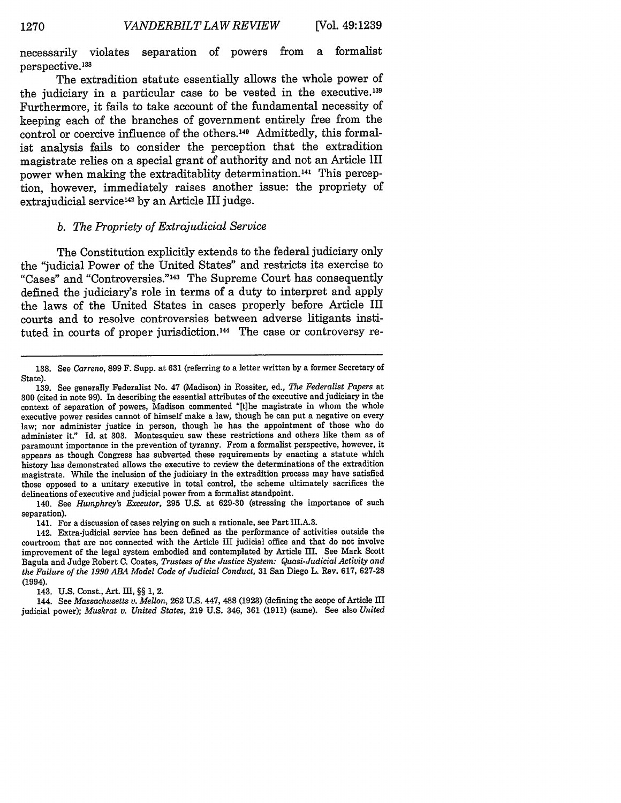necessarily violates separation of powers from a formalist perspective. <sup>138</sup>

The extradition statute essentially allows the whole power of the judiciary in a particular case to be vested in the executive.<sup>139</sup> Furthermore, it fails to take account of the fundamental necessity of keeping each of the branches of government entirely free from the control or coercive influence of the others. 40 Admittedly, this formalist analysis fails to consider the perception that the extradition magistrate relies on a special grant of authority and not an Article III power when making the extraditablity determination.<sup>141</sup> This perception, however, immediately raises another issue: the propriety of extrajudicial service **<sup>4</sup> <sup>2</sup> by** an Article III judge.

#### *b. The Propriety of Extrajudicial Service*

The Constitution explicitly extends to the federal judiciary only the "judicial Power of the United States" and restricts its exercise to "Cases" and "Controversies."<sup>143</sup> The Supreme Court has consequently defined the judiciary's role in terms of a duty to interpret and apply the laws of the United States in cases properly before Article III courts and to resolve controversies between adverse litigants instituted in courts of proper jurisdiction.<sup>144</sup> The case or controversy re-

141. For a discussion of cases relying on such a rationale, see Part III.A-3.

143. U.S. Const., Art. III, §§ 1, 2.

144. See *Massachusetts v. Mellon,* 262 U.S. 447, 488 (1923) (defining the scope of Article III judicial power); *Muskrat v. United States,* 219 U.S. 346, 361 (1911) (same). See also *United*

<sup>138.</sup> See *Carreno,* 899 F. Supp. at 631 (referring to a letter written by a former Secretary of State).

<sup>139.</sup> See generally Federalist No. 47 (Madison) in Rossiter, ed., *The Federalist Papers at* 300 (cited in note 99). In describing the essential attributes of the executive and judiciary in the context of separation of powers, Madison commented "[t]he magistrate in whom the whole executive power resides cannot of himself make a law, though he can put a negative on every law; nor administer justice in person, though he has the appointment of those who do administer it" Id. at 303. Montesquieu saw these restrictions and others like them as of paramount importance in the prevention of tyranny. From a formalist perspective, however, it appears as though Congress has subverted these requirements by enacting a statute which history has demonstrated allows the executive to review the determinations of the extradition magistrate. While the inclusion of the judiciary in the extradition process may have satisfied those opposed to a unitary executive in total control, the scheme ultimately sacrifices the delineations of executive and judicial power from a formalist standpoint.

<sup>140.</sup> See *Humphrey's Executor,* 295 U.S. at 629-30 (stressing the importance of such separation).

<sup>142.</sup> Extra-judicial service has been defined as the performance of activities outside the courtroom that are not connected with the Article III judicial office and that do not involve improvement of the legal system embodied and contemplated by Article III. See Mark Scott Bagula and Judge Robert **C.** Coates, *Trustees of the Justice System: Quasi-Judicial Activity and the Failure of the 1990 ABA Model Code of Judicial Conduct,* 31 San Diego L. Rev. 617, 627-28 (1994).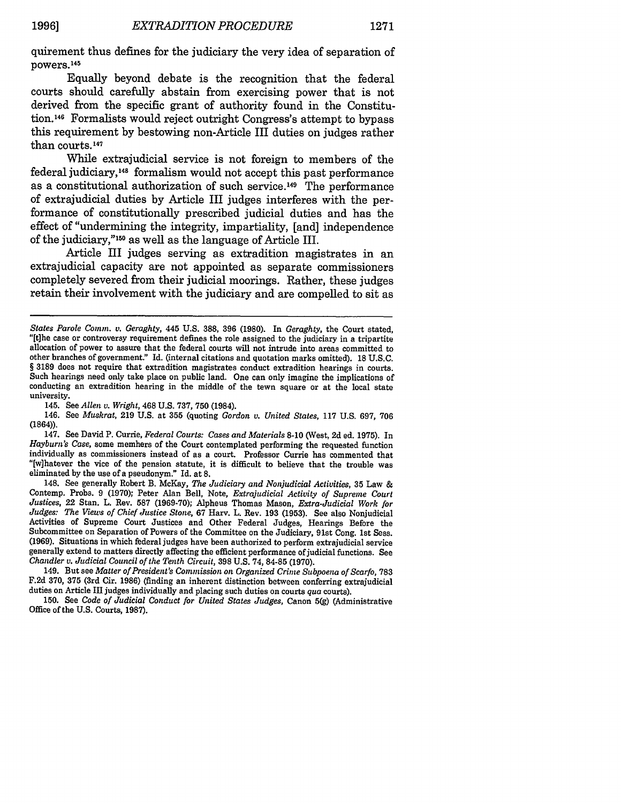quirement thus defines for the judiciary the very idea of separation of powers.<sup>145</sup>

Equally beyond debate is the recognition that the federal courts should carefully abstain from exercising power that is not derived from the specific grant of authority found in the Constitution.14G Formalists would reject outright Congress's attempt to bypass this requirement by bestowing non-Article III duties on judges rather than courts.<sup>147</sup>

While extrajudicial service is not foreign to members of the federal judiciary,<sup>148</sup> formalism would not accept this past performance as a constitutional authorization of such service. 149 The performance of extrajudicial duties by Article III judges interferes with the performance of constitutionally prescribed judicial duties and has the effect of "undermining the integrity, impartiality, [and] independence of the judiciary,"10 as well as the language of Article III.

Article III judges serving as extradition magistrates in an extrajudicial capacity are not appointed as separate commissioners completely severed from their judicial moorings. Rather, these judges retain their involvement with the judiciary and are compelled to sit as

145. See *Allen v. Wright,* 468 U.S. 737, **750** (1984).

146. See *Muskrat,* 219 U.S. at **355** (quoting *Gordon v. United States,* 117 U.S. 697, 706 (1864)).

147. See David P. Currie, *Federal Courts: Cases and Materials* **8-10** (West, **2d** ed. **1975).** In *Hayburn's Case,* some members of the Court contemplated performing the requested function individually as commissioners instead of as a court. Professor Currie has commented that "[w]hatever the vice of the pension statute, it is difficult to believe that the trouble was eliminated by the use of a pseudonym." Id. at **8.**

148. See generally Robert B. McKay, *The Judiciary and Nonjudicial Activities,* **35** Law & Contemp. Probs. 9 (1970); Peter Alan Bell, Note, *Extrajudicial Activity of Supreme Court Justices,* 22 Stan. L. Rev. **587** (1969-70); Alpheus Thomas Mason, *Extra-Judicial Work for Judges: The Views of Chief Justice Stone,* 67 Harv. L. Rev. 193 (1953). See also Nonjudicial Activities of Supreme Court Justices and Other Federal Judges, Hearings Before the Subcommittee on Separation of Powers of the Committee on the Judiciary, 91st Cong. 1st Sess. (1969). Situations in which federal judges have been authorized to perform extrajudicial service generally extend to matters directly affecting the efficient performance of judicial functions. See *Chandler v. Judicial Council of the Tenth Circuit,* **398** U.S. 74, 84-85 (1970).

149. But see *Matter of President's Commission on Organized Crime Subpoena of Scarfo,* **783** F.2d 370, **375** (3rd Cir. 1986) (finding an inherent distinction between conferring extrajudicial duties on Article III judges individually and placing such duties on courts *qua* courts).

150. See *Code of Judicial Conduct for United States Judges,* Canon 5(g) (Administrative Office of the U.S. Courts, 1987).

*States Parole Comm. v. Geraghty,* 445 **U.S.** 388, **396 (1980).** In *Geraghty,* the Court stated, "[t]he case or controversy requirement defines the role assigned to the judiciary in a tripartite allocation of power to assure that the federal courts will not intrude into areas committed to other branches of government." Id. (internal citations and quotation marks omitted). **18** U.S.C. § 3189 does not require that extradition magistrates conduct extradition hearings in courts. Such hearings need only take place on public land. One can only imagine the implications of conducting an extradition hearing in the middle of the town square or at the local state university.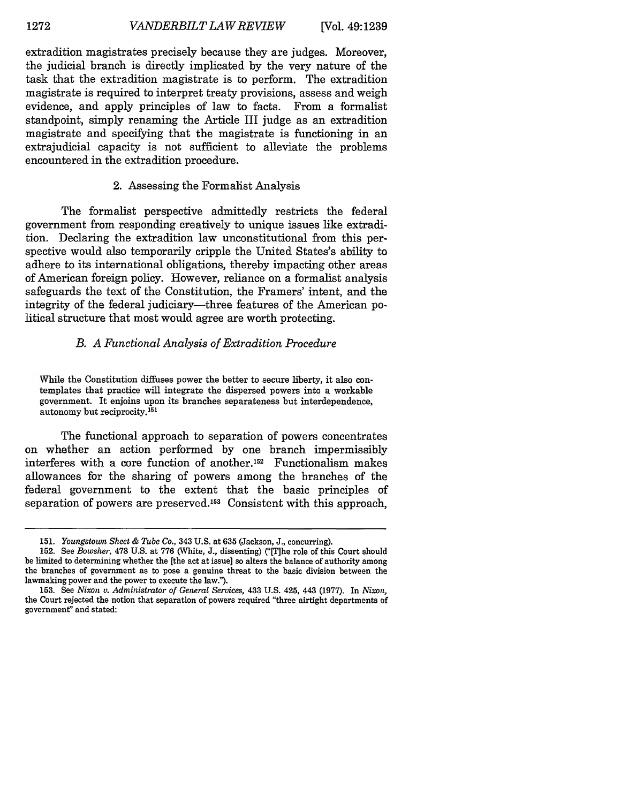extradition magistrates precisely because they are judges. Moreover, the judicial branch is directly implicated by the very nature of the task that the extradition magistrate is to perform. The extradition magistrate is required to interpret treaty provisions, assess and weigh evidence, and apply principles of law to facts. From a formalist standpoint, simply renaming the Article III judge as an extradition magistrate and specifying that the magistrate is functioning in an extrajudicial capacity is not sufficient to alleviate the problems encountered in the extradition procedure.

#### 2. Assessing the Formalist Analysis

The formalist perspective admittedly restricts the federal government from responding creatively to unique issues like extradition. Declaring the extradition law unconstitutional from this perspective would also temporarily cripple the United States's ability to adhere to its international obligations, thereby impacting other areas of American foreign policy. However, reliance on a formalist analysis safeguards the text of the Constitution, the Framers' intent, and the integrity of the federal judiciary—three features of the American political structure that most would agree are worth protecting.

#### *B. A Functional Analysis of Extradition Procedure*

While the Constitution diffuses power the better to secure liberty, it also contemplates that practice will integrate the dispersed powers into a workable government. It enjoins upon its branches separateness but interdependence, autonomy but reciprocity. 151

The functional approach to separation of powers concentrates on whether an action performed by one branch impermissibly interferes with a core function of another.<sup>152</sup> Functionalism makes allowances for the sharing of powers among the branches of the federal government to the extent that the basic principles of separation of powers are preserved.<sup>153</sup> Consistent with this approach,

<sup>151.</sup> *Youngstown Sheet & Tube Co.,* 343 U.S. at 635 (Jackson, J., concurring).

<sup>152.</sup> See *Bowsher,* 478 U.S. at 776 (White, J., dissenting) ("[T]he role of this Court should be limited to determining whether the [the act at issue] so alters the balance of authority among the branches of government as to pose a genuine threat to the basic division between the lawmaking power and the power to execute the law.").

**<sup>153.</sup>** See *Nixon v. Administrator of General Services,* 433 **U.S.** 425, 443 **(1977).** In *Nixon,* the Court rejected the notion that separation of powers required "three airtight departments of government" and stated: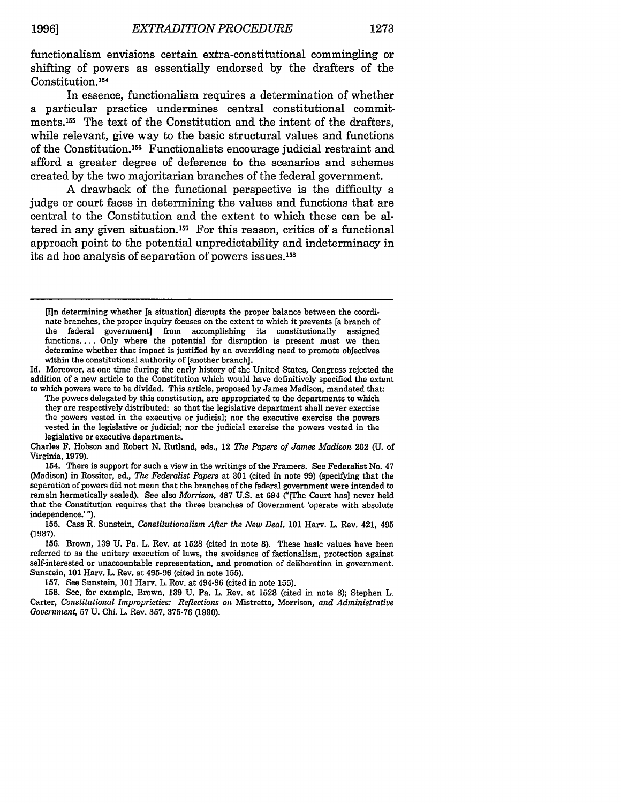functionalism envisions certain extra-constitutional commingling or shifting of powers as essentially endorsed by the drafters of the Constitution.<sup>154</sup>

In essence, functionalism requires a determination of whether a particular practice undermines central constitutional commitments. 55 The text of the Constitution and the intent of the drafters, while relevant, give way to the basic structural values and functions of the Constitution.156 Functionalists encourage judicial restraint and afford a greater degree of deference to the scenarios and schemes created by the two majoritarian branches of the federal government.

A drawback of the functional perspective is the difficulty a judge or court faces in determining the values and functions that are central to the Constitution and the extent to which these can be altered in any given situation.<sup>157</sup> For this reason, critics of a functional approach point to the potential unpredictability and indeterminacy in its ad hoc analysis of separation of powers issues. <sup>158</sup>

[I]n determining whether [a situation] disrupts the proper balance between the coordinate branches, the proper inquiry focuses on the extent to which it prevents [a branch of the federal government] from accomplishing its constitutionally assigned functions.... Only where the potential for disruption is present must we then determine whether that impact is justified by an overriding need to promote objectives within the constitutional authority of [another branch].

Id. Moreover, at one time during the early history of the United States, Congress rejected the addition of a new article to the Constitution which would have definitively specified the extent to which powers were to be divided. This article, proposed by James Madison, mandated that:

The powers delegated by this constitution, are appropriated to the departments to which they are respectively distributed: so that the legislative department shall never exercise the powers vested in the executive or judicial; nor the executive exercise the powers vested in the legislative or judicial; nor the judicial exercise the powers vested in the legislative or executive departments.

Charles F. Hobson and Robert N. Rutland, eds., 12 *The Papers of James Madison* 202 (U. of Virginia, 1979).

154. There is support for such a view in the writings of the Framers. See Federalist No. 47 (Madison) in Rossiter, ed., *The Federalist Papers* at 301 (cited in note 99) (specifying that the separation of powers did not mean that the branches of the federal government were intended to remain hermetically sealed). See also *Morrison,* 487 U.S. at 694 ("[The Court has] never held that the Constitution requires that the three branches of Government 'operate with absolute independence.' **").**

**155.** Cass R. Sunstein, *Constitutionalism After the New Deal,* 101 Harv. L. Rev. 421, 495 (1987).

156. Brown, 139 U. Pa. L. Rev. at 1528 (cited in note 8). These basic values have been referred to as the unitary execution of laws, the avoidance of factionalism, protection against self-interested or unaccountable representation, and promotion of deliberation in government. Sunstein, **101** Harv. L. Rev. at 495-96 (cited in note 155).

157. See Sunstein, **101** Harv. L. Rev. at 494-96 (cited in note 155).

158. See, for example, Brown, 139 U. Pa. L. Rev. at 1528 (cited in note 8); Stephen L. Carter, *Constitutional Improprieties: Reflections on* Mistretta, Morrison, *and Administrative Government,* **57 U.** Chi. L. Rev. **357, 375-76 (1990).**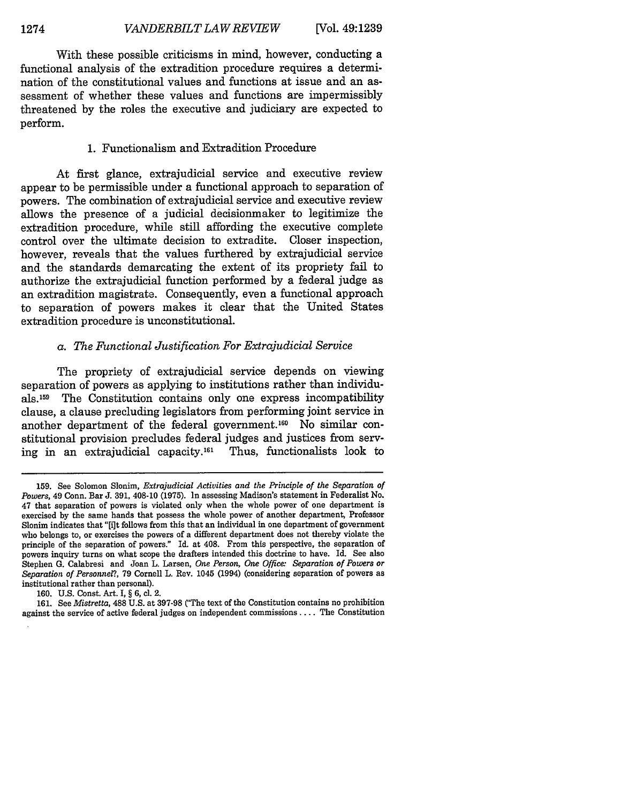With these possible criticisms in mind, however, conducting a functional analysis of the extradition procedure requires a determination of the constitutional values and functions at issue and an assessment of whether these values and functions are impermissibly threatened by the roles the executive and judiciary are expected to perform.

#### 1. Functionalism and Extradition Procedure

At first glance, extrajudicial service and executive review appear to be permissible under a functional approach to separation of powers. The combination of extrajudicial service and executive review allows the presence of a judicial decisionmaker to legitimize the extradition procedure, while still affording the executive complete control over the ultimate decision to extradite. Closer inspection, however, reveals that the values furthered by extrajudicial service and the standards demarcating the extent of its propriety fail to authorize the extrajudicial function performed by a federal judge as an extradition magistrate. Consequently, even a functional approach to separation of powers makes it clear that the United States extradition procedure is unconstitutional.

#### *a. The Functional Justification For Extrajudicial Service*

The propriety of extrajudicial service depends on viewing separation of powers as applying to institutions rather than individuals. 159 The Constitution contains only one express incompatibility clause, a clause precluding legislators from performing joint service in another department of the federal government.<sup>160</sup> No similar constitutional provision precludes federal judges and justices from serving in an extrajudicial capacity.16' Thus, functionalists look to

**<sup>159.</sup>** See Solomon Slonim, *Extrajudicial Activities and the Principle of the Separation of Powers,* 49 Conn. Bar **J. 391,** 408-10 **(1975).** In assessing Madison's statement in Federalist No. 47 that separation of powers is violated only when the whole power of one department is exercised **by** the same hands that possess the whole power of another department, Professor Slonim indicates that "[i]t follows from this that an individual in one department of government who belongs to, or exercises the powers of a different department does not thereby violate the principle of the separation of powers." Id. at 408. From this perspective, the separation of powers inquiry turns on what scope the drafters intended this doctrine to have. Id. See also Stephen **G.** Calabresi and Joan L. Larsen, *One Person, One Office: Separation of Powers or Separation of Personnel?,* **79** Cornell L. Rev. 1045 (1994) (considering separation of powers as institutional rather than personal).

**<sup>160.</sup> U.S.** Const. Art. I, § **6, cl.** 2.

<sup>161.</sup> See *Mistretta*, 488 U.S. at 397-98 ("The text of the Constitution contains no prohibition against the service of active federal judges on independent commissions .... The Constitution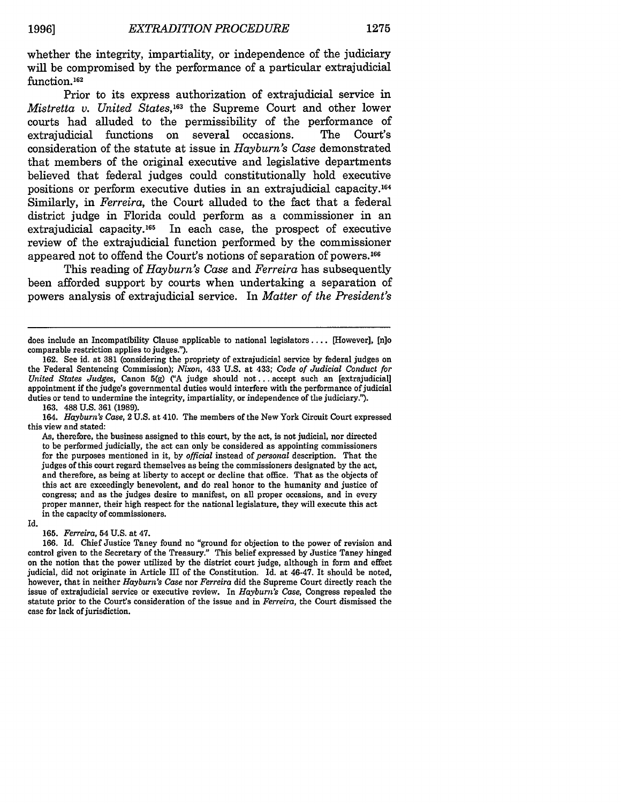whether the integrity, impartiality, or independence of the judiciary will be compromised by the performance of a particular extrajudicial function.<sup>162</sup>

Prior to its express authorization of extrajudicial service in *Mistretta v. United States,163* the Supreme Court and other lower courts had alluded to the permissibility of the performance of extrajudicial functions on several occasions. The Court's consideration of the statute at issue in *Hayburn's Case* demonstrated that members of the original executive and legislative departments believed that federal judges could constitutionally hold executive positions or perform executive duties in an extrajudicial capacity.<sup>164</sup> Similarly, in *Ferreira,* the Court alluded to the fact that a federal district judge in Florida could perform as a commissioner in an extrajudicial capacity. $165$  In each case, the prospect of executive review of the extrajudicial function performed by the commissioner appeared not to offend the Court's notions of separation of powers.166

This reading of *Hayburn's Case* and *Ferreira* has subsequently been afforded support by courts when undertaking a separation of powers analysis of extrajudicial service. In *Matter of the President's*

163. 488 U.S. 361 (1989).

Id.

**165.** *Ferreira,* 54 U.S. at 47.

166. Id. Chief Justice Taney found no "ground for objection to the power of revision and control given to the Secretary of the Treasury." This belief expressed by Justice Taney hinged on the notion that the power utilized by the district court judge, although in form and effect judicial, did not originate in Article III of the Constitution. Id. at 46-47. It should be noted, however, that in neither *Hayburn's Case* nor *Ferreira* did the Supreme Court directly reach the issue of extrajudicial service or executive review. In *Hayburn's Case,* Congress repealed the statute prior to the Court's consideration of the issue and in *Ferreira,* the Court dismissed the case for lack of jurisdiction.

does include an Incompatibility Clause applicable to national legislators .... [However], [n]o comparable restriction applies to judges.").

<sup>162.</sup> See id. at 381 (considering the propriety of extrajudicial service by federal judges on the Federal Sentencing Commission); *Nixon,* 433 U.S. at 433; *Code of Judicial Conduct for United States Judges, Canon 5(g) ("A judge should not... accept such an [extrajudicial]* appointment if the judge's governmental duties would interfere with the performance of judicial duties or tend to undermine the integrity, impartiality, or independence of the judiciary.").

<sup>164.</sup> *Hayburn's Case,* 2 U.S. at 410. The members of the New York Circuit Court expressed this view and stated:

As, therefore, the business assigned to this court, by the act, is not judicial, nor directed to be performed judicially, the act can only be considered as appointing commissioners for the purposes mentioned in it, by *official* instead of *personal* description. That the judges of this court regard themselves as being the commissioners designated by the act, and therefore, as being at liberty to accept or decline that office. That as the objects of this act are exceedingly benevolent, and do real honor to the humanity and justice of congress; and as the judges desire to manifest, on all proper occasions, and in every proper manner, their high respect for the national legislature, they will execute this act in the capacity of commissioners.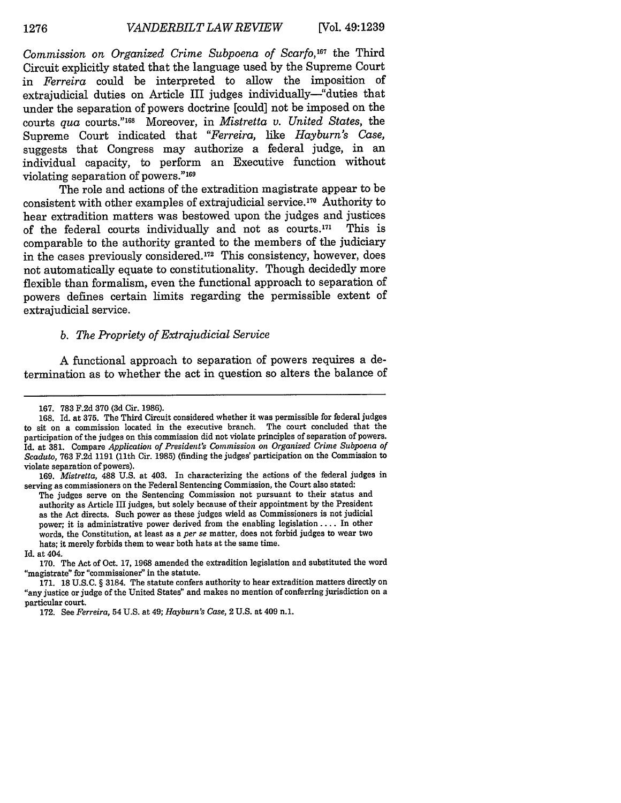*Commission on Organized Crime Subpoena of Scarfo,167* the Third Circuit explicitly stated that the language used by the Supreme Court in *Ferreira* could be interpreted to allow the imposition of extrajudicial duties on Article III judges individually-"duties that under the separation of powers doctrine [could] not be imposed on the courts *qua* courts." 68 Moreover, in *Mistretta v. United States,* the Supreme Court indicated that *"Ferreira, like Hayburn's Case,* suggests that Congress may authorize a federal judge, in an individual capacity, to perform an Executive function without violating separation of powers." <sup>169</sup>

The role and actions of the extradition magistrate appear to be consistent with other examples of extrajudicial service. 170 Authority to hear extradition matters was bestowed upon the judges and justices of the federal courts individually and not as courts.<sup>171</sup> ' This is comparable to the authority granted to the members of the judiciary in the cases previously considered.<sup>172</sup> This consistency, however, does not automatically equate to constitutionality. Though decidedly more flexible than formalism, even the functional approach to separation of powers defines certain limits regarding the permissible extent of extrajudicial service.

#### *b. The Propriety of Extrajudicial Service*

A functional approach to separation of powers requires a determination as to whether the act in question so alters the balance of

The judges serve on the Sentencing Commission not pursuant to their status and authority as Article III judges, but solely because of their appointment **by** the President as the Act directs. Such power as these judges wield as Commissioners is not judicial power; it is administrative power derived from the enabling legislation .... In other words, the Constitution, at least as a *per se* matter, does not forbid judges to wear two hats; it merely forbids them to wear both hats at the same time.

**170.** The Act of Oct. **17, 1968** amended the extradition legislation and substituted the word "magistrate" for "commissioner" in the statute.

<sup>167. 783</sup> F.2d 370 (3d Cir. 1986).

<sup>168.</sup> Id. at 375. The Third Circuit considered whether it was permissible for federal judges to sit on a commission located in the executive branch. The court concluded that the participation of the judges on this commission did not violate principles of separation of powers. Id. at **381.** Compare *Application of President's Commission on Organized Crime Subpoena of Scaduto,* **763 F.2d 1191** (11th Cir. **1985)** (finding the judges' participation on the Commission to violate separation of powers).

**<sup>169.</sup>** *Mistretta,* **488 U.S.** at 403. In characterizing the actions of the federal judges in serving as commissioners on the Federal Sentencing Commission, the Court also stated:

Id. at 404.

<sup>171. 18</sup> U.S.C. § 3184. The statute confers authority to hear extradition matters directly on "any justice or judge of the United States" and makes no mention of conferring jurisdiction on a particular court.

<sup>172.</sup> See *Ferreira,* 54 U.S. at 49; *Hayburn's Case,* 2 U.S. at 409 n.1.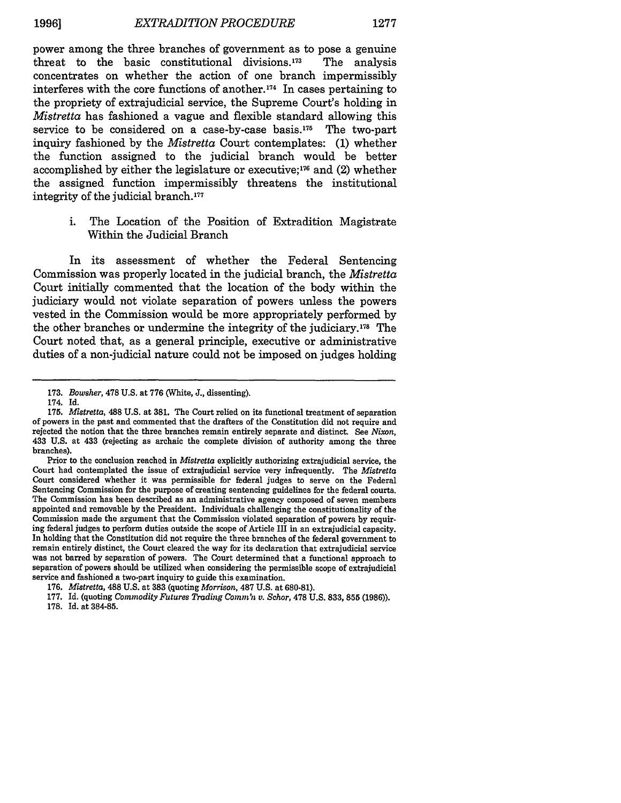power among the three branches of government as to pose a genuine threat to the basic constitutional divisions. $173$  The analysis concentrates on whether the action of one branch impermissibly interferes with the core functions of another. 174 In cases pertaining to the propriety of extrajudicial service, the Supreme Court's holding in *Mistretta* has fashioned a vague and flexible standard allowing this service to be considered on a case-by-case basis.175 The two-part inquiry fashioned by the *Mistretta* Court contemplates: (1) whether the function assigned to the judicial branch would be better accomplished by either the legislature or executive; $176$  and (2) whether the assigned function impermissibly threatens the institutional integrity of the judicial branch.177

i. The Location of the Position of Extradition Magistrate Within the Judicial Branch

In its assessment of whether the Federal Sentencing Commission was properly located in the judicial branch, the *Mistretta* Court initially commented that the location of the body within the judiciary would not violate separation of powers unless the powers vested in the Commission would be more appropriately performed by the other branches or undermine the integrity of the judiciary.178 The Court noted that, as a general principle, executive or administrative duties of a non-judicial nature could not be imposed on judges holding

<sup>173.</sup> *Bowsher,* 478 U.S. at 776 (White, J., dissenting).

<sup>174.</sup> Id.

<sup>175.</sup> *Mistretta,* 488 U.S. at 381. The Court relied on its functional treatment of separation of powers in the past and commented that the drafters of the Constitution did not require and rejected the notion that the three branches remain entirely separate and distinct. See *Nixon,* 433 U.S. at 433 (rejecting as archaic the complete division of authority among the three branches).

Prior to the conclusion reached in *Mistretta* explicitly authorizing extrajudicial service, the Court had contemplated the issue of extrajudicial service very infrequently. The *Mistretta* Court considered whether it was permissible for federal judges to serve on the Federal Sentencing Commission for the purpose of creating sentencing guidelines for the federal courts. The Commission has been described as an administrative agency composed of seven members appointed and removable by the President. Individuals challenging the constitutionality of the Commission made the argument that the Commission violated separation of powers by requiring federal judges to perform duties outside the scope of Article III in an extrajudicial capacity. In holding that the Constitution did not require the three branches of the federal government to remain entirely distinct, the Court cleared the way for its declaration that extrajudicial service was not barred by separation of powers. The Court determined that a functional approach to separation of powers should be utilized when considering the permissible scope of extrajudicial service and fashioned a two-part inquiry to guide this examination.

<sup>176.</sup> *Mistretta,* 488 U.S. at 383 (quoting *Morrison,* 487 U.S. at 680-81).

**<sup>177.</sup>** Id. (quoting *Commodity Futures Trading Comm'n v. Schor,* **478 U.S. 833, 855 (1986)). 178. Id.** at **384-85.**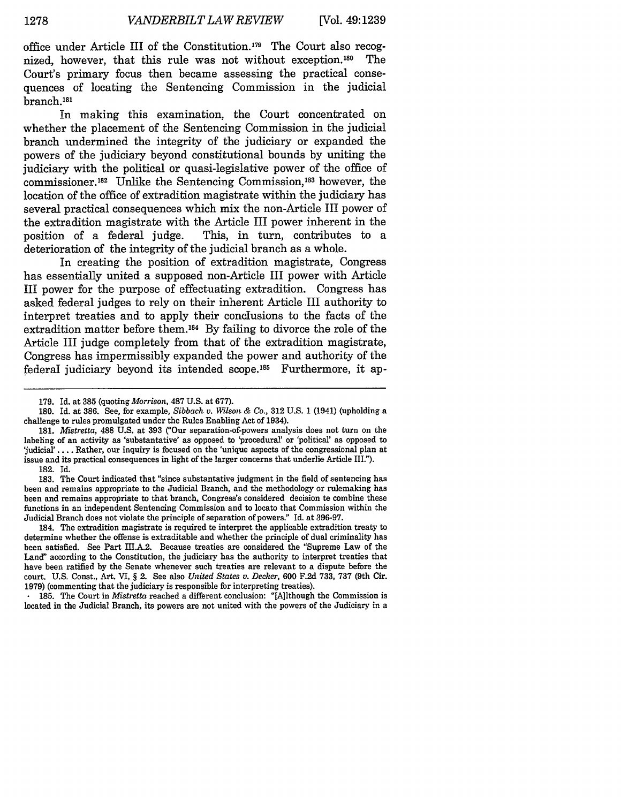office under Article III of the Constitution.<sup>179</sup> The Court also recognized, however, that this rule was not without exception.<sup>180</sup> The Court's primary focus then became assessing the practical consequences of locating the Sentencing Commission in the judicial branch.181

In making this examination, the Court concentrated on whether the placement of the Sentencing Commission in the judicial branch undermined the integrity of the judiciary or expanded the powers of the judiciary beyond constitutional bounds **by** uniting the judiciary with the political or quasi-legislative power of the office of commissioner.<sup>182</sup> Unlike the Sentencing Commission,<sup>183</sup> however, the location of the office of extradition magistrate within the judiciary has several practical consequences which mix the non-Article III power of the extradition magistrate with the Article III power inherent in the position of a federal judge. This, in turn, contributes to a This, in turn, contributes to a deterioration of the integrity of the judicial branch as a whole.

In creating the position of extradition magistrate, Congress has essentially united a supposed non-Article III power with Article III power for the purpose of effectuating extradition. Congress has asked federal judges to rely on their inherent Article III authority to interpret treaties and to apply their conclusions to the facts of the extradition matter before them.<sup>184</sup> By failing to divorce the role of the Article III judge completely from that of the extradition magistrate, Congress has impermissibly expanded the power and authority of the federal judiciary beyond its intended scope.<sup>185</sup> Furthermore, it ap-

**185.** The Court in *Mistretta* reached a different conclusion: "[A]lthough the Commission is located in the Judicial Branch, its powers are not united with the powers of the Judiciary in a

**<sup>179.</sup>** Id. **at 385** (quoting **Morrison, 487 U.S.** at **677).**

**<sup>180.</sup>** Id. at **386.** See, for example, *Sibbach v. Wilson & Co.,* **312 U.S. 1** (1941) (upholding a challenge to rules promulgated under the Rules Enabling Act of 1934).

**<sup>181.</sup>** *Mistretta,* **488 U.S.** at **393 C'Our** separation-of-powers analysis does not turn on the labeling of an activity as 'substantative' as opposed to 'procedural' or 'political' as opposed to judicia' **....** Rather, our inquiry is focused on the 'unique aspects of the congressional plan at issue and its practical consequences in light of the larger concerns that underlie Article III."). **182.** Id.

**<sup>183.</sup>** The Court indicated that "since substantative judgment in the field of sentencing has been and remains appropriate to the Judicial Branch, and the methodology or rulemaking has been and remains appropriate to that branch, Congress's considered decision to combine these functions in an independent Sentencing Commission and to locate that Commission within the Judicial Branch does not violate the principle of separation of powers." Id. at **396-97.**

<sup>184.</sup> The extradition magistrate is required to interpret the applicable extradition treaty to determine whether the offense is extraditable and whether the principle of dual criminality has been satisfied. See Part III.A.2. Because treaties are considered the "Supreme Law of the Land" according to the Constitution, the judiciary has the authority to interpret treaties that have been ratified **by** the Senate whenever such treaties are relevant to a dispute before the court. **U.S.** Const., Art. VI, **§** 2. See also *United States v. Decker,* **600 F.2d 733, 737** (9th Cir. **1979)** (commenting that the judiciary is responsible for interpreting treaties).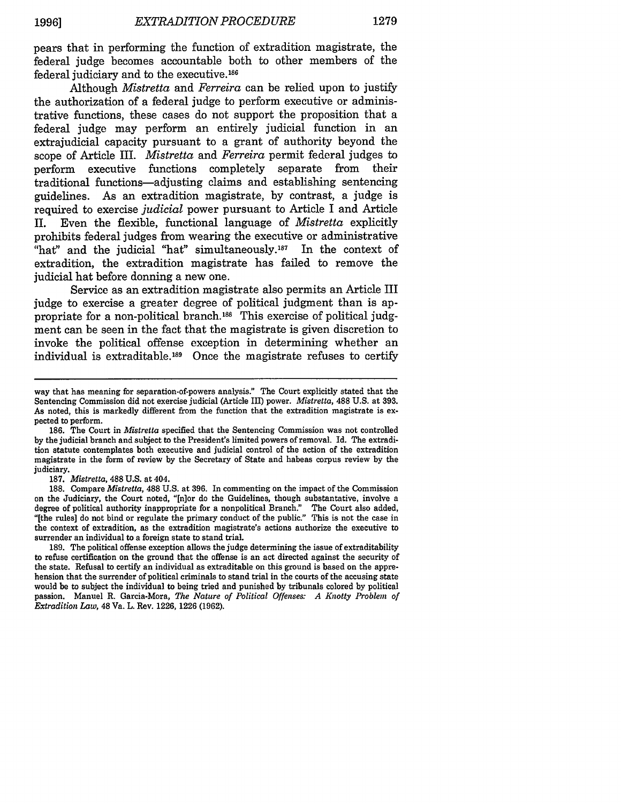pears that in performing the function of extradition magistrate, the federal judge becomes accountable both to other members of the federal judiciary and to the executive. <sup>186</sup>

Although *Mistretta* and *Ferreira* can be relied upon to justify the authorization of a federal judge to perform executive or administrative functions, these cases do not support the proposition that a federal judge may perform an entirely judicial function in an extrajudicial capacity pursuant to a grant of authority beyond the scope of Article III. *Mistretta* and *Ferreira* permit federal judges to perform executive functions completely separate from their traditional functions-adjusting claims and establishing sentencing guidelines. As an extradition magistrate, **by** contrast, a judge is required to exercise *judicial* power pursuant to Article I and Article II. Even the flexible, functional language of *Mistretta* explicitly prohibits federal judges from wearing the executive or administrative "hat" and the judicial "hat" simultaneously.<sup>187</sup> In the context of extradition, the extradition magistrate has failed to remove the judicial hat before donning a new one.

Service as an extradition magistrate also permits an Article III judge to exercise a greater degree of political judgment than is appropriate for a non-political branch.<sup>188</sup> This exercise of political judgment can be seen in the fact that the magistrate is given discretion to invoke the political offense exception in determining whether an individual is extraditable.<sup>189</sup> Once the magistrate refuses to certify

**187.** *Mistretta,* **488 U.S.** at 404.

**188.** Compare *Mistretta,* **488 U.S.** at **396.** In commenting on the impact of the Commission on the Judiciary, the Court noted, "[n]or do the Guidelines, though substantative, involve a degree of political authority inappropriate for a nonpolitical Branch." The Court also added, **"[the** rules] do not bind or regulate the primary conduct of the public." This is not the case in the context of extradition, as the extradition magistrate's actions authorize the executive to surrender an individual **to** a foreign state **to** stand trial.

**189.** The political offense exception allows the judge determining the issue of extraditability **to** refuse certification on the ground that the offense is an act directed against the security of the state. Refusal to certify an individual as extraditable on this ground is based on the apprehension that the surrender of political criminals to stand trial in the courts of the accusing state would be **to** subject the individual **to** being tried and punished **by** tribunals colored **by** political passion. Manuel R. Garcia-Mora, *The Nature of Political Offenses: A Knotty Problem of Extradition Law,* 48 Va. L. Rev. **1226, 1226 (1962).**

way that has meaning for separation-of-powers analysis." The Court explicitly stated that the Sentencing Commission did not exercise judicial (Article III) power. *Mistretta,* **488 U.S.** at **393.** As noted, this is markedly different from the function that the extradition magistrate is expected to perform.

**<sup>186.</sup>** The Court in *Mistretta* specified that the Sentencing Commission was not controlled **by** the judicial branch and subject to the President's limited powers of removal. **Id.** The extradition statute contemplates both executive and judicial control of the action of the extradition magistrate in the form of review **by** the Secretary of State and habeas corpus review **by** the judiciary.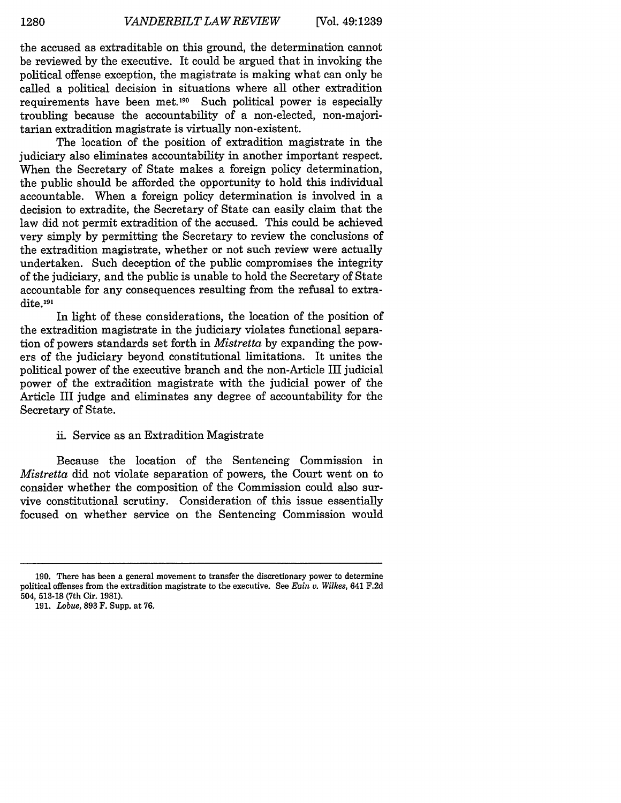the accused as extraditable on this ground, the determination cannot be reviewed by the executive. It could be argued that in invoking the political offense exception, the magistrate is making what can only be called a political decision in situations where all other extradition requirements have been met.190 Such political power is especially troubling because the accountability of a non-elected, non-majoritarian extradition magistrate is virtually non-existent.

The location of the position of extradition magistrate in the judiciary also eliminates accountability in another important respect. When the Secretary of State makes a foreign policy determination, the public should be afforded the opportunity to hold this individual accountable. When a foreign policy determination is involved in a decision to extradite, the Secretary of State can easily claim that the law did not permit extradition of the accused. This could be achieved very simply by permitting the Secretary to review the conclusions of the extradition magistrate, whether or not such review were actually undertaken. Such deception of the public compromises the integrity of the judiciary, and the public is unable to hold the Secretary of State accountable for any consequences resulting from the refusal to extradite.<sup>191</sup>

In light of these considerations, the location of the position of the extradition magistrate in the judiciary violates functional separation of powers standards set forth in *Mistretta* by expanding the powers of the judiciary beyond constitutional limitations. It unites the political power of the executive branch and the non-Article III judicial power of the extradition magistrate with the judicial power of the Article III judge and eliminates any degree of accountability for the Secretary of State.

#### ii. Service as an Extradition Magistrate

Because the location of the Sentencing Commission in *Mistretta* did not violate separation of powers, the Court went on to consider whether the composition of the Commission could also survive constitutional scrutiny. Consideration of this issue essentially focused on whether service on the Sentencing Commission would

<sup>190.</sup> There has been a general movement to transfer the discretionary power to determine political offenses from the extradition magistrate to the executive. See *Eain v. Wilkes,* 641 F.2d 504, 513-18 (7th Cir. 1981).

<sup>191.</sup> *Lobue,* 893 F. Supp. at 76.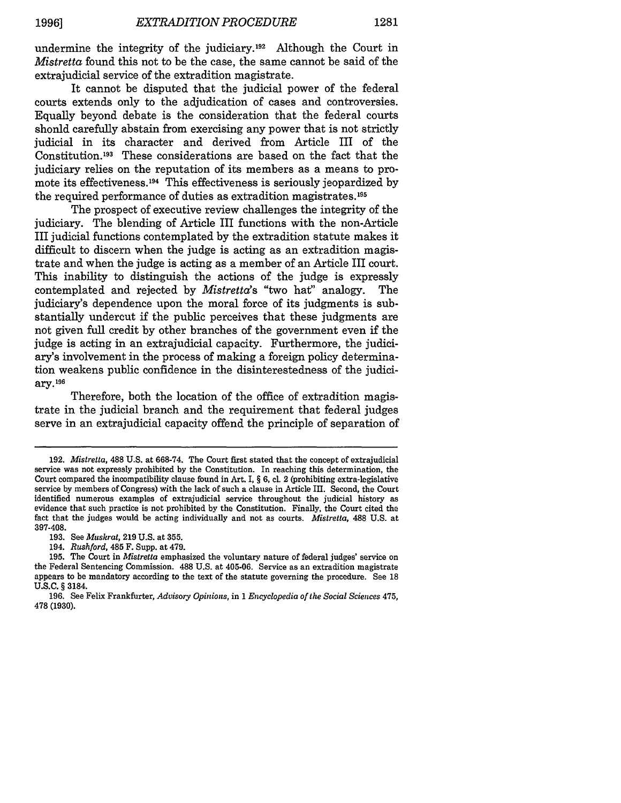undermine the integrity of the judiciary.<sup>192</sup> Although the Court in *Mistretta* found this not to be the case, the same cannot be said of the extrajudicial service of the extradition magistrate.

It cannot be disputed that the judicial power of the federal courts extends only to the adjudication of cases and controversies. Equally beyond debate is the consideration that the federal courts shonld carefully abstain from exercising any power that is not strictly judicial in its character and derived from Article III of the Constitution. 193 These considerations are based on the fact that the judiciary relies on the reputation of its members as a means to promote its effectiveness.<sup>194</sup> This effectiveness is seriously jeopardized by the required performance of duties as extradition magistrates.<sup>195</sup>

The prospect of executive review challenges the integrity of the judiciary. The blending of Article III functions with the non-Article III judicial functions contemplated by the extradition statute makes it difficult to discern when the judge is acting as an extradition magistrate and when the judge is acting as a member of an Article III court. This inability to distinguish the actions of the judge is expressly contemplated and rejected by *Mistretta's* "two hat" analogy. The judiciary's dependence upon the moral force of its judgments is substantially undercut if the public perceives that these judgments are not given full credit by other branches of the government even if the judge is acting in an extrajudicial capacity. Furthermore, the judiciary's involvement in the process of making a foreign policy determination weakens public confidence in the disinterestedness of the judici**ary.19 <sup>6</sup>**

Therefore, both the location of the office of extradition magistrate in the judicial branch and the requirement that federal judges serve in an extrajudicial capacity offend the principle of separation of

<sup>192.</sup> *Mistretta,* 488 U.S. at 668-74. The Court first stated that the concept of extrajudicial service was not expressly prohibited by the Constitution. In reaching this determination, the Court compared the incompatibility clause found in Art. I, § 6, cl. 2 (prohibiting extra-legislative service by members of Congress) with the lack of such a clause in Article III. Second, the Court identified numerous examples of extrajudicial service throughout the judicial history as evidence that such practice is not prohibited by the Constitution. Finally, the Court cited the fact that the judges would be acting individually and not as courts. *Mistretta,* 488 U.S. at 397-408.

<sup>193.</sup> See *Muskrat,* 219 U.S. at 355.

<sup>194.</sup> *Rushford,* 485 F. Supp. at 479.

<sup>195.</sup> The Court in *Mistretta* emphasized the voluntary nature of federal judges' service on the Federal Sentencing Commission. 488 U.S. at 405-06. Service as an extradition magistrate appears to be mandatory according to the text of the statute governing the procedure. See 18 **U.S.C.** § 3184.

<sup>196.</sup> See Felix Frankfurter, *Advisory Opinions,* in 1 *Encyclopedia of the Social Sciences* 475, **478** (1930).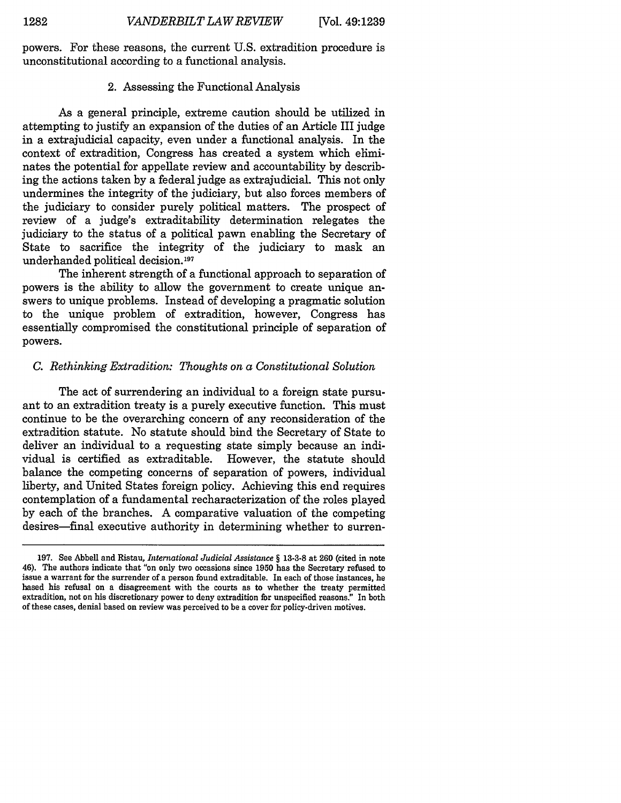powers. For these reasons, the current U.S. extradition procedure is unconstitutional according to a functional analysis.

#### 2. Assessing the Functional Analysis

As a general principle, extreme caution should be utilized in attempting to justify an expansion of the duties of an Article III judge in a extrajudicial capacity, even under a functional analysis. In the context of extradition, Congress has created a system which eliminates the potential for appellate review and accountability by describing the actions taken by a federal judge as extrajudicial. This not only undermines the integrity of the judiciary, but also forces members of the judiciary to consider purely political matters. The prospect of review of a judge's extraditability determination relegates the judiciary to the status of a political pawn enabling the Secretary of State to sacrifice the integrity of the judiciary to mask an underhanded political decision.197

The inherent strength of a functional approach to separation of powers is the ability to allow the government to create unique answers to unique problems. Instead of developing a pragmatic solution to the unique problem of extradition, however, Congress has essentially compromised the constitutional principle of separation of powers.

#### *C. Rethinking Extradition: Thoughts on a Constitutional Solution*

The act of surrendering an individual to a foreign state pursuant to an extradition treaty is a purely executive function. This must continue to be the overarching concern of any reconsideration of the extradition statute. No statute should bind the Secretary of State to deliver an individual to a requesting state simply because an individual is certified as extraditable. However, the statute should balance the competing concerns of separation of powers, individual liberty, and United States foreign policy. Achieving this end requires contemplation of a fundamental recharacterization of the roles played by each of the branches. A comparative valuation of the competing desires—final executive authority in determining whether to surren-

<sup>197.</sup> See Abbell and Ristau, *International Judicial Assistance §* 13-3-8 at 260 (cited in note 46). The authors indicate that "on only two occasions since 1950 has the Secretary refused to issue a warrant for the surrender of a person found extraditable. In each of those instances, he based his refusal on a disagreement with the courts as to whether the treaty permitted extradition, not on his discretionary power to deny extradition for unspecified reasons." In both of these cases, denial based on review was perceived to be a cover for policy-driven motives.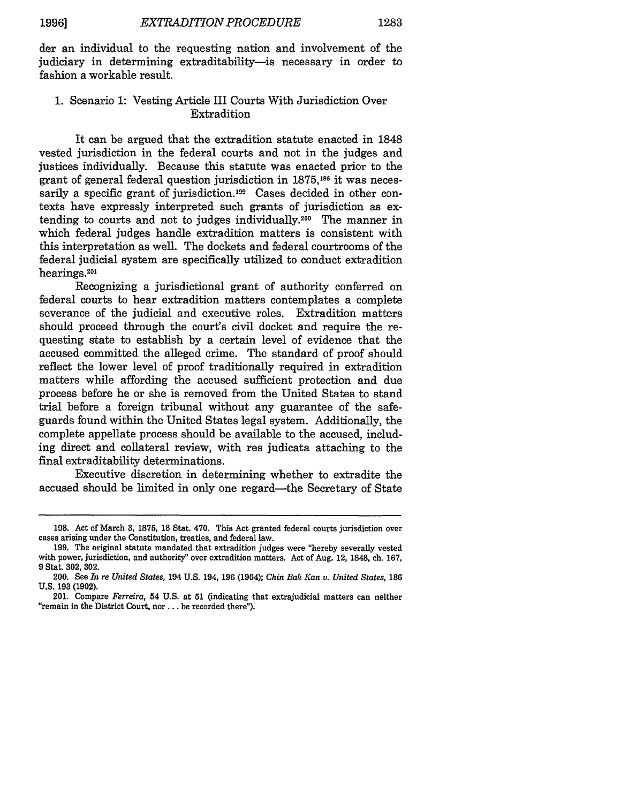der an individual to the requesting nation and involvement of the judiciary in determining extraditability- is necessary in order to fashion a workable result.

#### 1. Scenario 1: Vesting Article III Courts With Jurisdiction Over Extradition

It can be argued that the extradition statute enacted in 1848 vested jurisdiction in the federal courts and not in the judges and justices individually. Because this statute was enacted prior to the grant of general federal question jurisdiction in **1875,198** it was necessarily a specific grant of jurisdiction.<sup>199</sup> Cases decided in other contexts have expressly interpreted such grants of jurisdiction as extending to courts and not to judges individually. 200 The manner in which federal judges handle extradition matters is consistent with this interpretation as well. The dockets and federal courtrooms of the federal judicial system are specifically utilized to conduct extradition hearings.<sup>201</sup>

Recognizing a jurisdictional grant of authority conferred on federal courts to hear extradition matters contemplates a complete severance of the judicial and executive roles. Extradition matters should proceed through the court's civil docket and require the requesting state to establish by a certain level of evidence that the accused committed the alleged crime. The standard of proof should reflect the lower level of proof traditionally required in extradition matters while affording the accused sufficient protection and due process before he or she is removed from the United States to stand trial before a foreign tribunal without any guarantee of the safeguards found within the United States legal system. Additionally, the complete appellate process should be available to the accused, including direct and collateral review, with res judicata attaching to the final extraditability determinations.

Executive discretion in determining whether to extradite the accused should be limited in only one regard—the Secretary of State

<sup>198.</sup> Act of March 3, 1875, 18 Stat. 470. This Act granted federal courts jurisdiction over cases arising under the Constitution, treaties, and federal law.

<sup>199.</sup> The original statute mandated that extradition judges were "hereby severally vested with power, jurisdiction, and authority" over extradition matters. Act of Aug. 12, 1848, ch. 167, **9** Stat. **302, 302.**

<sup>200.</sup> See *In re United States,* 194 U.S. 194, 196 (1904); *Chin Bak Kan v. United States,* 186 **U.S.** 193 **(1902).**

<sup>201.</sup> Compare *Ferreira,* 54 U.S. at **51** (indicating that extrajudicial matters can neither "remain in the District Court, nor.., be recorded there").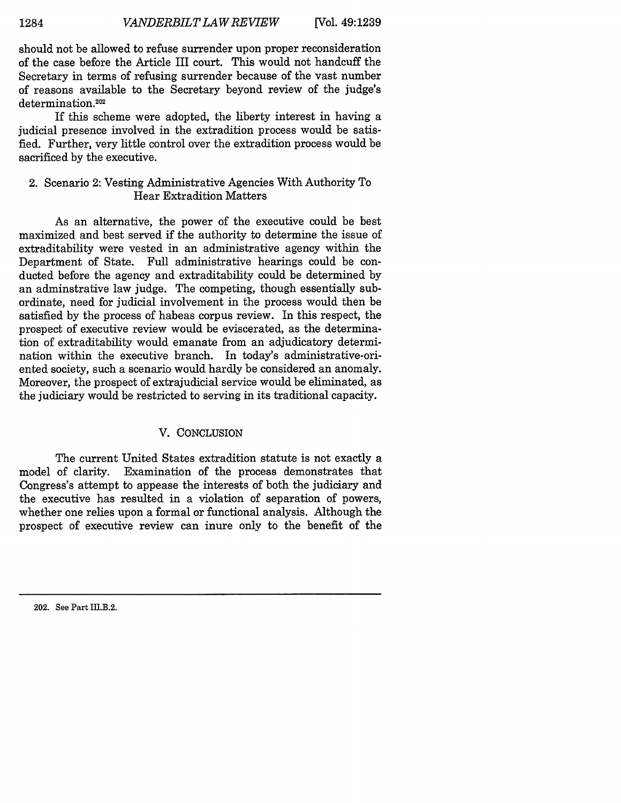should not be allowed to refuse surrender upon proper reconsideration of the case before the Article III court. This would not handcuff the Secretary in terms of refusing surrender because of the vast number of reasons available to the Secretary beyond review of the judge's determination.<sup>202</sup>

If this scheme were adopted, the liberty interest in having a judicial presence involved in the extradition process would be satisfied. Further, very little control over the extradition process would be sacrificed by the executive.

#### 2. Scenario 2: Vesting Administrative Agencies With Authority To Hear Extradition Matters

As an alternative, the power of the executive could be best maximized and best served if the authority to determine the issue of extraditability were vested in an administrative agency within the Department of State. Full administrative hearings could be conducted before the agency and extraditability could be determined by an adminstrative law judge. The competing, though essentially subordinate, need for judicial involvement in the process would then be satisfied by the process of habeas corpus review. In this respect, the prospect of executive review would be eviscerated, as the determination of extraditability would emanate from an adjudicatory determination within the executive branch. In today's administrative-oriented society, such a scenario would hardly be considered an anomaly. Moreover, the prospect of extrajudicial service would be eliminated, as the judiciary would be restricted to serving in its traditional capacity.

#### V. CONCLUSION

The current United States extradition statute is not exactly a model of clarity. Examination of the process demonstrates that Congress's attempt to appease the interests of both the judiciary and the executive has resulted in a violation of separation of powers, whether one relies upon a formal or functional analysis. Although the prospect of executive review can inure only to the benefit of the

202. See Part III.B.2.